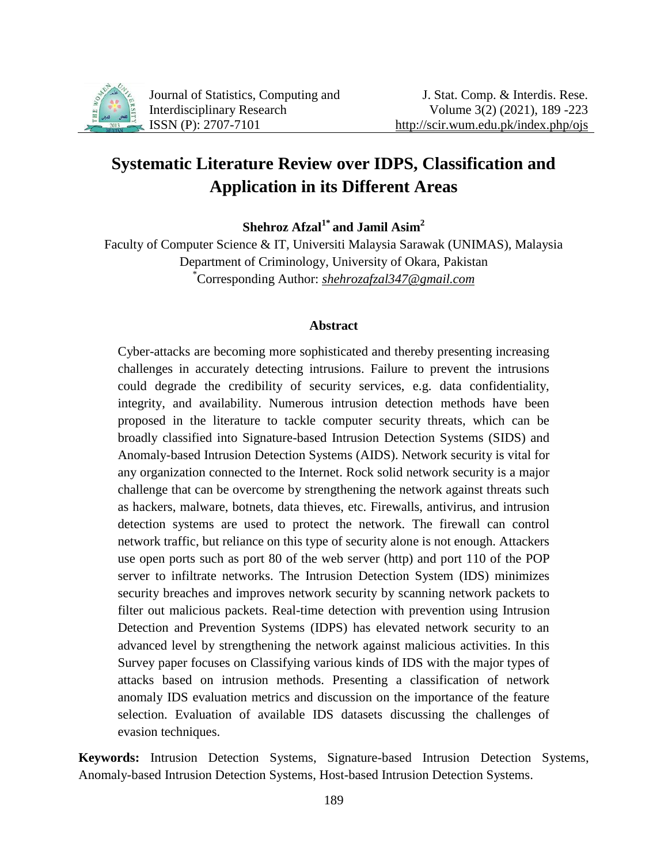

Journal of Statistics, Computing and Interdisciplinary Research ISSN (P): 2707-7101

# **Systematic Literature Review over IDPS, Classification and Application in its Different Areas**

**Shehroz Afzal1\* and Jamil Asim<sup>2</sup>**

Faculty of Computer Science & IT, Universiti Malaysia Sarawak (UNIMAS), Malaysia Department of Criminology, University of Okara, Pakistan \*Corresponding Author: *[shehrozafzal347@gmail.com](mailto:shehrozafzal347@gmail.com)*

### **Abstract**

Cyber-attacks are becoming more sophisticated and thereby presenting increasing challenges in accurately detecting intrusions. Failure to prevent the intrusions could degrade the credibility of security services, e.g. data confidentiality, integrity, and availability. Numerous intrusion detection methods have been proposed in the literature to tackle computer security threats, which can be broadly classified into Signature-based Intrusion Detection Systems (SIDS) and Anomaly-based Intrusion Detection Systems (AIDS). Network security is vital for any organization connected to the Internet. Rock solid network security is a major challenge that can be overcome by strengthening the network against threats such as hackers, malware, botnets, data thieves, etc. Firewalls, antivirus, and intrusion detection systems are used to protect the network. The firewall can control network traffic, but reliance on this type of security alone is not enough. Attackers use open ports such as port 80 of the web server (http) and port 110 of the POP server to infiltrate networks. The Intrusion Detection System (IDS) minimizes security breaches and improves network security by scanning network packets to filter out malicious packets. Real-time detection with prevention using Intrusion Detection and Prevention Systems (IDPS) has elevated network security to an advanced level by strengthening the network against malicious activities. In this Survey paper focuses on Classifying various kinds of IDS with the major types of attacks based on intrusion methods. Presenting a classification of network anomaly IDS evaluation metrics and discussion on the importance of the feature selection. Evaluation of available IDS datasets discussing the challenges of evasion techniques.

**Keywords:** Intrusion Detection Systems, Signature-based Intrusion Detection Systems, Anomaly-based Intrusion Detection Systems, Host-based Intrusion Detection Systems.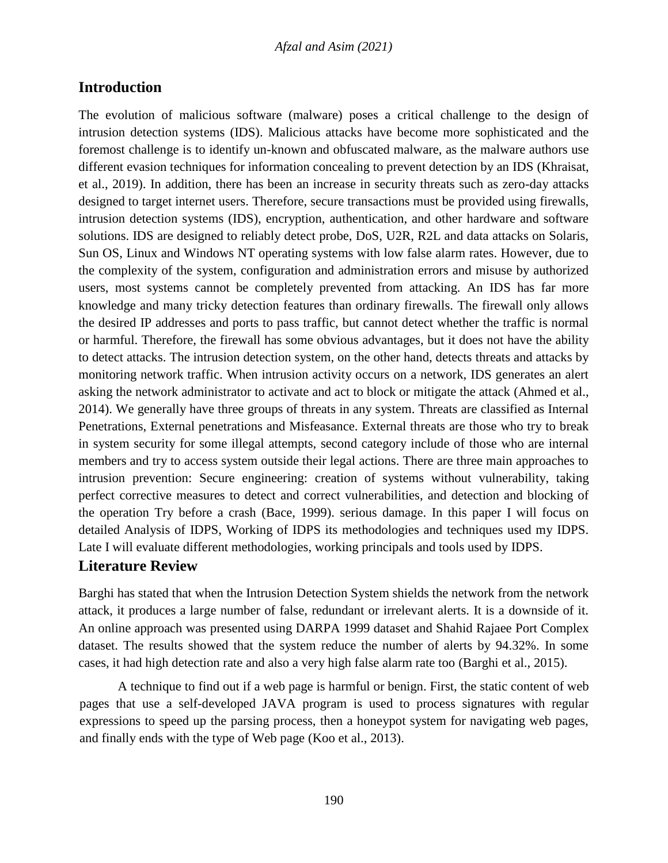## **Introduction**

The evolution of malicious software (malware) poses a critical challenge to the design of intrusion detection systems (IDS). Malicious attacks have become more sophisticated and the foremost challenge is to identify un-known and obfuscated malware, as the malware authors use different evasion techniques for information concealing to prevent detection by an IDS (Khraisat, et al., 2019). In addition, there has been an increase in security threats such as zero-day attacks designed to target internet users. Therefore, secure transactions must be provided using firewalls, intrusion detection systems (IDS), encryption, authentication, and other hardware and software solutions. IDS are designed to reliably detect probe, DoS, U2R, R2L and data attacks on Solaris, Sun OS, Linux and Windows NT operating systems with low false alarm rates. However, due to the complexity of the system, configuration and administration errors and misuse by authorized users, most systems cannot be completely prevented from attacking. An IDS has far more knowledge and many tricky detection features than ordinary firewalls. The firewall only allows the desired IP addresses and ports to pass traffic, but cannot detect whether the traffic is normal or harmful. Therefore, the firewall has some obvious advantages, but it does not have the ability to detect attacks. The intrusion detection system, on the other hand, detects threats and attacks by monitoring network traffic. When intrusion activity occurs on a network, IDS generates an alert asking the network administrator to activate and act to block or mitigate the attack (Ahmed et al., 2014). We generally have three groups of threats in any system. Threats are classified as Internal Penetrations, External penetrations and Misfeasance. External threats are those who try to break in system security for some illegal attempts, second category include of those who are internal members and try to access system outside their legal actions. There are three main approaches to intrusion prevention: Secure engineering: creation of systems without vulnerability, taking perfect corrective measures to detect and correct vulnerabilities, and detection and blocking of the operation Try before a crash (Bace, 1999). serious damage. In this paper I will focus on detailed Analysis of IDPS, Working of IDPS its methodologies and techniques used my IDPS. Late I will evaluate different methodologies, working principals and tools used by IDPS.

# **Literature Review**

Barghi has stated that when the Intrusion Detection System shields the network from the network attack, it produces a large number of false, redundant or irrelevant alerts. It is a downside of it. An online approach was presented using DARPA 1999 dataset and Shahid Rajaee Port Complex dataset. The results showed that the system reduce the number of alerts by 94.32%. In some cases, it had high detection rate and also a very high false alarm rate too (Barghi et al., 2015).

A technique to find out if a web page is harmful or benign. First, the static content of web pages that use a self-developed JAVA program is used to process signatures with regular expressions to speed up the parsing process, then a honeypot system for navigating web pages, and finally ends with the type of Web page (Koo et al., 2013).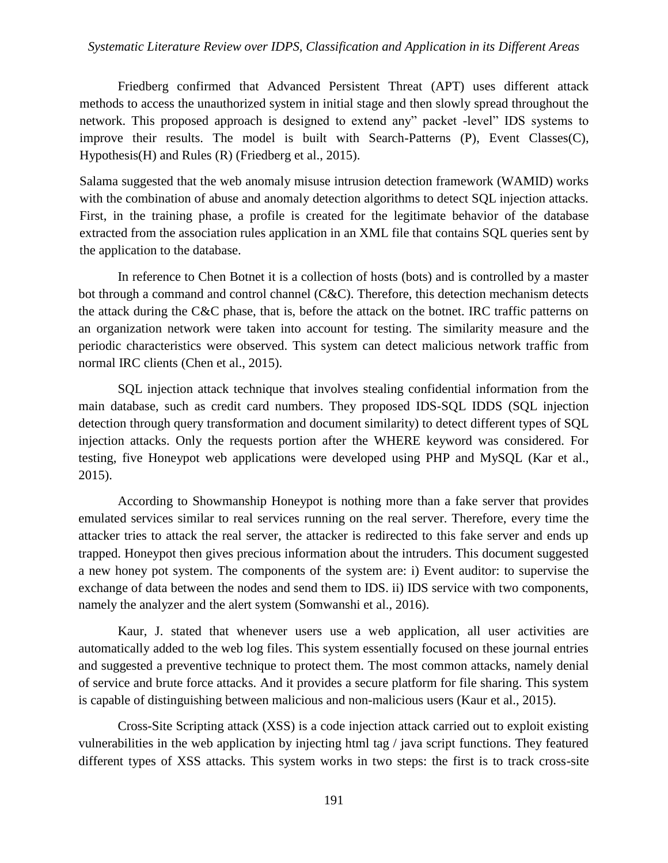### *Systematic Literature Review over IDPS, Classification and Application in its Different Areas*

Friedberg confirmed that Advanced Persistent Threat (APT) uses different attack methods to access the unauthorized system in initial stage and then slowly spread throughout the network. This proposed approach is designed to extend any" packet -level" IDS systems to improve their results. The model is built with Search-Patterns (P), Event Classes(C), Hypothesis(H) and Rules (R) (Friedberg et al., 2015).

Salama suggested that the web anomaly misuse intrusion detection framework (WAMID) works with the combination of abuse and anomaly detection algorithms to detect SQL injection attacks. First, in the training phase, a profile is created for the legitimate behavior of the database extracted from the association rules application in an XML file that contains SQL queries sent by the application to the database.

In reference to Chen Botnet it is a collection of hosts (bots) and is controlled by a master bot through a command and control channel (C&C). Therefore, this detection mechanism detects the attack during the C&C phase, that is, before the attack on the botnet. IRC traffic patterns on an organization network were taken into account for testing. The similarity measure and the periodic characteristics were observed. This system can detect malicious network traffic from normal IRC clients (Chen et al., 2015).

SQL injection attack technique that involves stealing confidential information from the main database, such as credit card numbers. They proposed IDS-SQL IDDS (SQL injection detection through query transformation and document similarity) to detect different types of SQL injection attacks. Only the requests portion after the WHERE keyword was considered. For testing, five Honeypot web applications were developed using PHP and MySQL (Kar et al., 2015).

According to Showmanship Honeypot is nothing more than a fake server that provides emulated services similar to real services running on the real server. Therefore, every time the attacker tries to attack the real server, the attacker is redirected to this fake server and ends up trapped. Honeypot then gives precious information about the intruders. This document suggested a new honey pot system. The components of the system are: i) Event auditor: to supervise the exchange of data between the nodes and send them to IDS. ii) IDS service with two components, namely the analyzer and the alert system (Somwanshi et al., 2016).

Kaur, J. stated that whenever users use a web application, all user activities are automatically added to the web log files. This system essentially focused on these journal entries and suggested a preventive technique to protect them. The most common attacks, namely denial of service and brute force attacks. And it provides a secure platform for file sharing. This system is capable of distinguishing between malicious and non-malicious users (Kaur et al., 2015).

Cross-Site Scripting attack (XSS) is a code injection attack carried out to exploit existing vulnerabilities in the web application by injecting html tag / java script functions. They featured different types of XSS attacks. This system works in two steps: the first is to track cross-site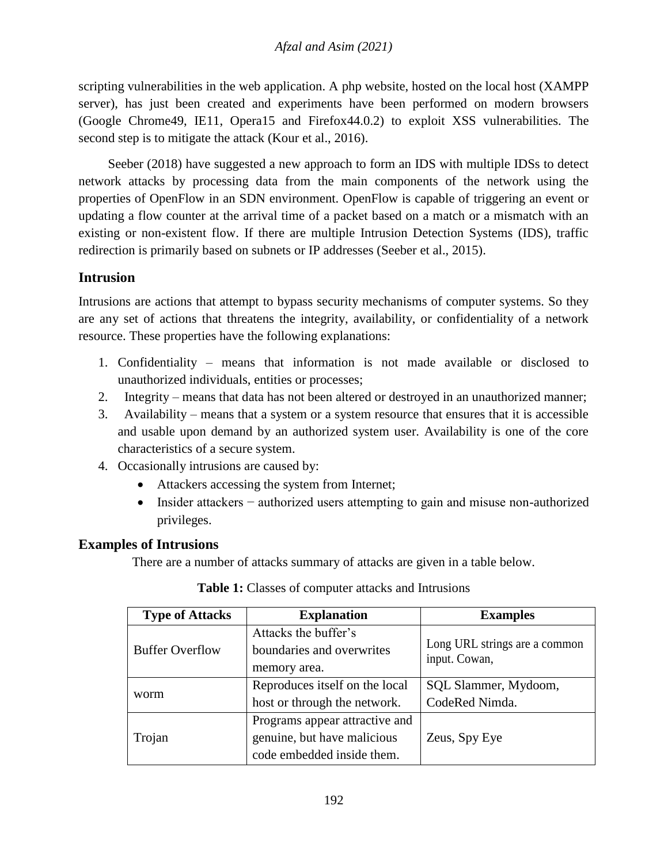scripting vulnerabilities in the web application. A php website, hosted on the local host (XAMPP server), has just been created and experiments have been performed on modern browsers (Google Chrome49, IE11, Opera15 and Firefox44.0.2) to exploit XSS vulnerabilities. The second step is to mitigate the attack (Kour et al., 2016).

Seeber (2018) have suggested a new approach to form an IDS with multiple IDSs to detect network attacks by processing data from the main components of the network using the properties of OpenFlow in an SDN environment. OpenFlow is capable of triggering an event or updating a flow counter at the arrival time of a packet based on a match or a mismatch with an existing or non-existent flow. If there are multiple Intrusion Detection Systems (IDS), traffic redirection is primarily based on subnets or IP addresses (Seeber et al., 2015).

# **Intrusion**

Intrusions are actions that attempt to bypass security mechanisms of computer systems. So they are any set of actions that threatens the integrity, availability, or confidentiality of a network resource. These properties have the following explanations:

- 1. Confidentiality means that information is not made available or disclosed to unauthorized individuals, entities or processes;
- 2. Integrity means that data has not been altered or destroyed in an unauthorized manner;
- 3. Availability means that a system or a system resource that ensures that it is accessible and usable upon demand by an authorized system user. Availability is one of the core characteristics of a secure system.
- 4. Occasionally intrusions are caused by:
	- Attackers accessing the system from Internet;
	- Insider attackers − authorized users attempting to gain and misuse non-authorized privileges.

# **Examples of Intrusions**

There are a number of attacks summary of attacks are given in a table below.

| <b>Type of Attacks</b> | <b>Explanation</b>                                                | <b>Examples</b>                                |  |
|------------------------|-------------------------------------------------------------------|------------------------------------------------|--|
| <b>Buffer Overflow</b> | Attacks the buffer's<br>boundaries and overwrites<br>memory area. | Long URL strings are a common<br>input. Cowan, |  |
|                        | Reproduces itself on the local                                    | SQL Slammer, Mydoom,                           |  |
| worm                   | host or through the network.                                      | CodeRed Nimda.                                 |  |
|                        | Programs appear attractive and                                    |                                                |  |
| Trojan                 | genuine, but have malicious                                       | Zeus, Spy Eye                                  |  |
|                        | code embedded inside them.                                        |                                                |  |

| <b>Table 1:</b> Classes of computer attacks and Intrusions |  |
|------------------------------------------------------------|--|
|------------------------------------------------------------|--|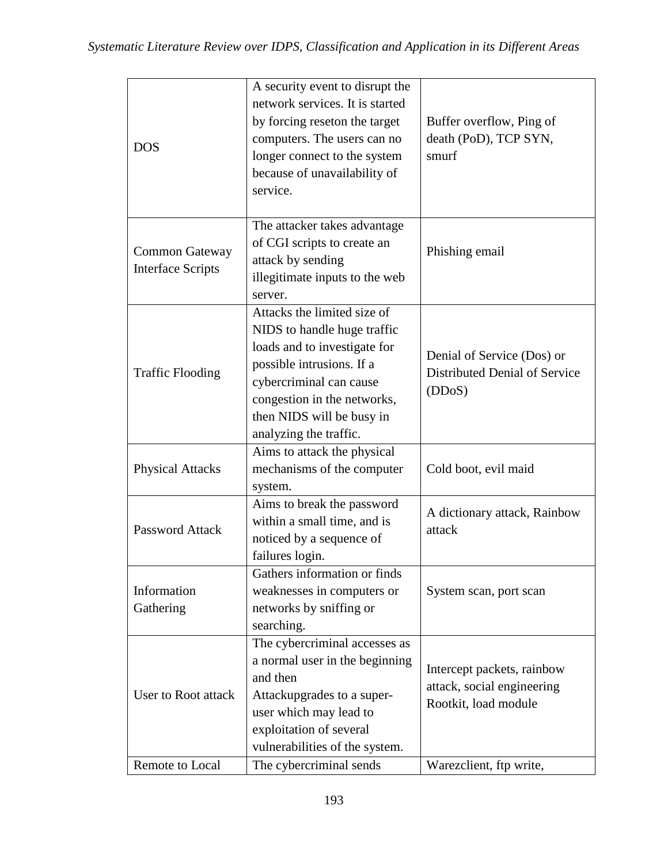| <b>DOS</b>                                        | A security event to disrupt the<br>network services. It is started<br>by forcing reseton the target<br>computers. The users can no<br>longer connect to the system<br>because of unavailability of<br>service.                           | Buffer overflow, Ping of<br>death (PoD), TCP SYN,<br>smurf                       |
|---------------------------------------------------|------------------------------------------------------------------------------------------------------------------------------------------------------------------------------------------------------------------------------------------|----------------------------------------------------------------------------------|
| <b>Common Gateway</b><br><b>Interface Scripts</b> | The attacker takes advantage<br>of CGI scripts to create an<br>attack by sending<br>illegitimate inputs to the web<br>server.                                                                                                            | Phishing email                                                                   |
| <b>Traffic Flooding</b>                           | Attacks the limited size of<br>NIDS to handle huge traffic<br>loads and to investigate for<br>possible intrusions. If a<br>cybercriminal can cause<br>congestion in the networks,<br>then NIDS will be busy in<br>analyzing the traffic. | Denial of Service (Dos) or<br>Distributed Denial of Service<br>(DDoS)            |
| <b>Physical Attacks</b>                           | Aims to attack the physical<br>mechanisms of the computer<br>system.                                                                                                                                                                     | Cold boot, evil maid                                                             |
| <b>Password Attack</b>                            | Aims to break the password<br>within a small time, and is<br>noticed by a sequence of<br>failures login.                                                                                                                                 | A dictionary attack, Rainbow<br>attack                                           |
| Information<br>Gathering                          | Gathers information or finds<br>weaknesses in computers or<br>networks by sniffing or<br>searching.                                                                                                                                      | System scan, port scan                                                           |
| User to Root attack                               | The cybercriminal accesses as<br>a normal user in the beginning<br>and then<br>Attackupgrades to a super-<br>user which may lead to<br>exploitation of several<br>vulnerabilities of the system.                                         | Intercept packets, rainbow<br>attack, social engineering<br>Rootkit, load module |
| Remote to Local                                   | The cybercriminal sends                                                                                                                                                                                                                  | Warezclient, ftp write,                                                          |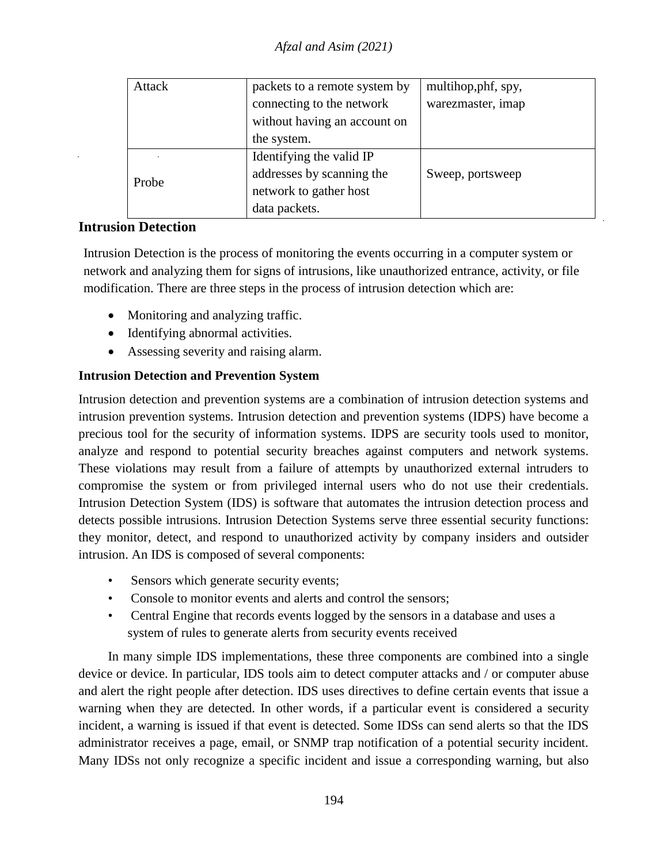| Attack | packets to a remote system by | multihop, phf, spy, |
|--------|-------------------------------|---------------------|
|        | connecting to the network     | warezmaster, imap   |
|        | without having an account on  |                     |
|        | the system.                   |                     |
|        | Identifying the valid IP      |                     |
| Probe  | addresses by scanning the     | Sweep, portsweep    |
|        | network to gather host        |                     |
|        | data packets.                 |                     |

## **Intrusion Detection**

Intrusion Detection is the process of monitoring the events occurring in a computer system or network and analyzing them for signs of intrusions, like unauthorized entrance, activity, or file modification. There are three steps in the process of intrusion detection which are:

- Monitoring and analyzing traffic.
- Identifying abnormal activities.
- Assessing severity and raising alarm.

## **Intrusion Detection and Prevention System**

Intrusion detection and prevention systems are a combination of intrusion detection systems and intrusion prevention systems. Intrusion detection and prevention systems (IDPS) have become a precious tool for the security of information systems. IDPS are security tools used to monitor, analyze and respond to potential security breaches against computers and network systems. These violations may result from a failure of attempts by unauthorized external intruders to compromise the system or from privileged internal users who do not use their credentials. Intrusion Detection System (IDS) is software that automates the intrusion detection process and detects possible intrusions. Intrusion Detection Systems serve three essential security functions: they monitor, detect, and respond to unauthorized activity by company insiders and outsider intrusion. An IDS is composed of several components:

- Sensors which generate security events;
- Console to monitor events and alerts and control the sensors:
- Central Engine that records events logged by the sensors in a database and uses a system of rules to generate alerts from security events received

In many simple IDS implementations, these three components are combined into a single device or device. In particular, IDS tools aim to detect computer attacks and / or computer abuse and alert the right people after detection. IDS uses directives to define certain events that issue a warning when they are detected. In other words, if a particular event is considered a security incident, a warning is issued if that event is detected. Some IDSs can send alerts so that the IDS administrator receives a page, email, or SNMP trap notification of a potential security incident. Many IDSs not only recognize a specific incident and issue a corresponding warning, but also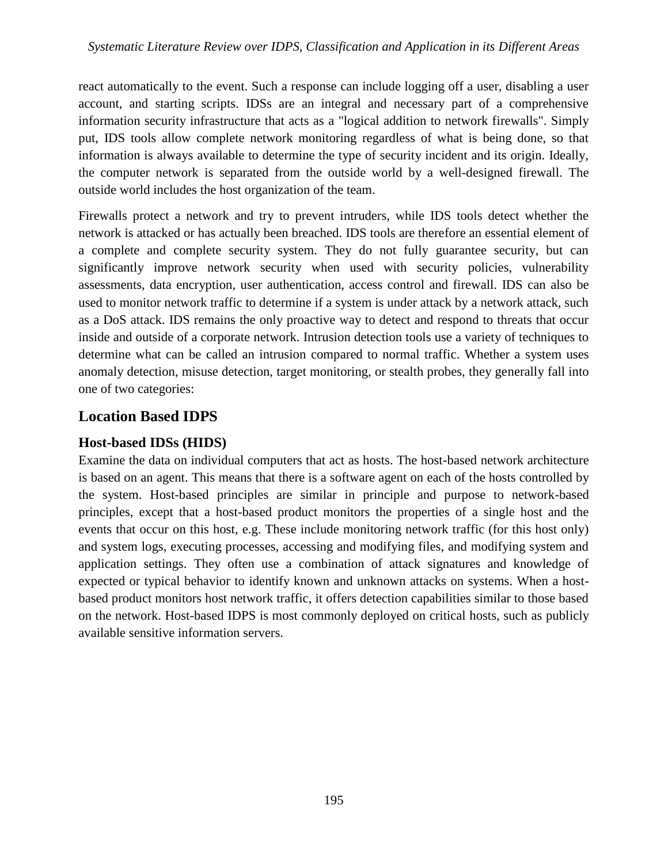react automatically to the event. Such a response can include logging off a user, disabling a user account, and starting scripts. IDSs are an integral and necessary part of a comprehensive information security infrastructure that acts as a "logical addition to network firewalls". Simply put, IDS tools allow complete network monitoring regardless of what is being done, so that information is always available to determine the type of security incident and its origin. Ideally, the computer network is separated from the outside world by a well-designed firewall. The outside world includes the host organization of the team.

Firewalls protect a network and try to prevent intruders, while IDS tools detect whether the network is attacked or has actually been breached. IDS tools are therefore an essential element of a complete and complete security system. They do not fully guarantee security, but can significantly improve network security when used with security policies, vulnerability assessments, data encryption, user authentication, access control and firewall. IDS can also be used to monitor network traffic to determine if a system is under attack by a network attack, such as a DoS attack. IDS remains the only proactive way to detect and respond to threats that occur inside and outside of a corporate network. Intrusion detection tools use a variety of techniques to determine what can be called an intrusion compared to normal traffic. Whether a system uses anomaly detection, misuse detection, target monitoring, or stealth probes, they generally fall into one of two categories:

# **Location Based IDPS**

# **Host-based IDSs (HIDS)**

Examine the data on individual computers that act as hosts. The host-based network architecture is based on an agent. This means that there is a software agent on each of the hosts controlled by the system. Host-based principles are similar in principle and purpose to network-based principles, except that a host-based product monitors the properties of a single host and the events that occur on this host, e.g. These include monitoring network traffic (for this host only) and system logs, executing processes, accessing and modifying files, and modifying system and application settings. They often use a combination of attack signatures and knowledge of expected or typical behavior to identify known and unknown attacks on systems. When a hostbased product monitors host network traffic, it offers detection capabilities similar to those based on the network. Host-based IDPS is most commonly deployed on critical hosts, such as publicly available sensitive information servers.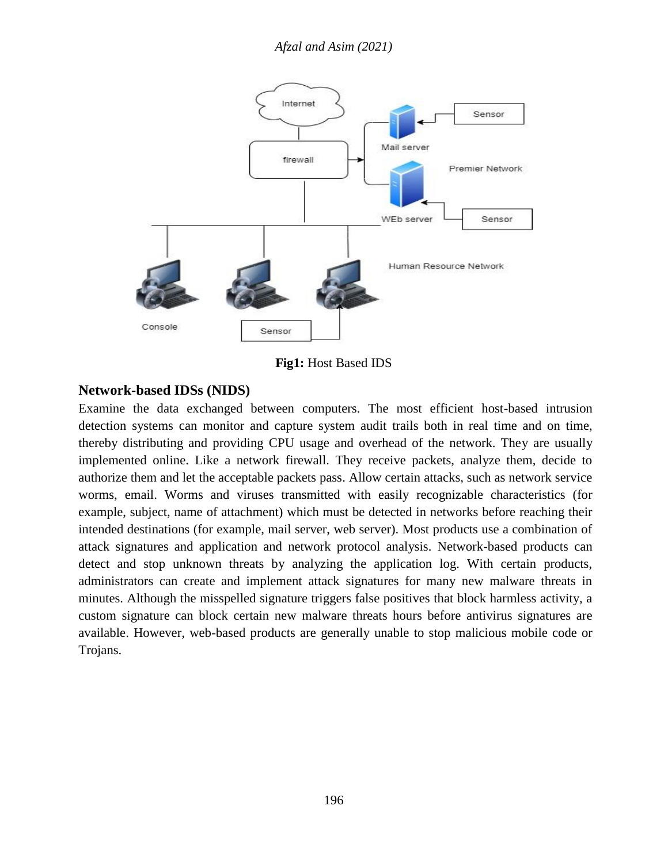## *Afzal and Asim (2021)*



**Fig1:** Host Based IDS

## **Network-based IDSs (NIDS)**

Examine the data exchanged between computers. The most efficient host-based intrusion detection systems can monitor and capture system audit trails both in real time and on time, thereby distributing and providing CPU usage and overhead of the network. They are usually implemented online. Like a network firewall. They receive packets, analyze them, decide to authorize them and let the acceptable packets pass. Allow certain attacks, such as network service worms, email. Worms and viruses transmitted with easily recognizable characteristics (for example, subject, name of attachment) which must be detected in networks before reaching their intended destinations (for example, mail server, web server). Most products use a combination of attack signatures and application and network protocol analysis. Network-based products can detect and stop unknown threats by analyzing the application log. With certain products, administrators can create and implement attack signatures for many new malware threats in minutes. Although the misspelled signature triggers false positives that block harmless activity, a custom signature can block certain new malware threats hours before antivirus signatures are available. However, web-based products are generally unable to stop malicious mobile code or Trojans.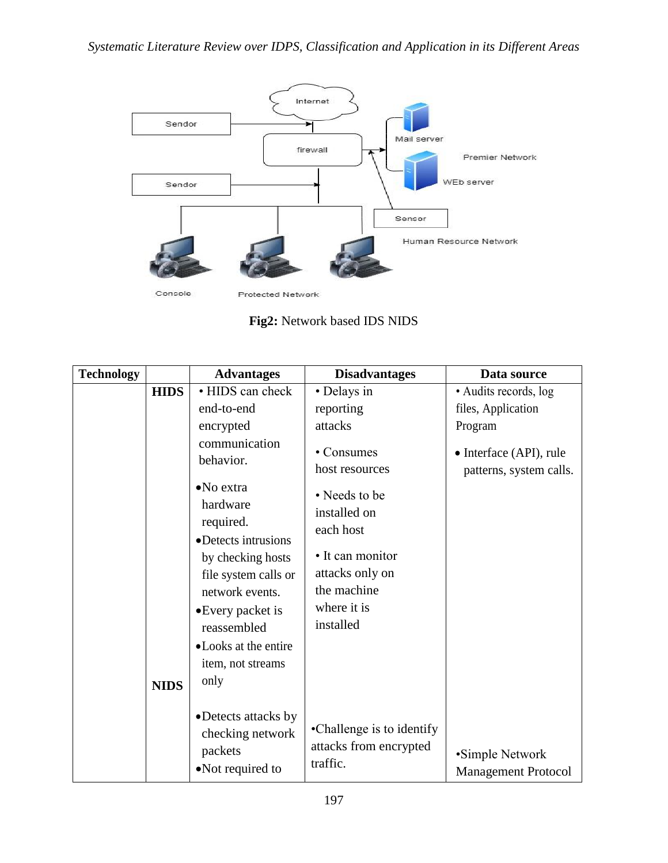

**Fig2:** Network based IDS NIDS

| <b>Technology</b> |             | <b>Advantages</b>                                                                                                                                                                               | <b>Disadvantages</b>                                                                                                         | Data source                                        |
|-------------------|-------------|-------------------------------------------------------------------------------------------------------------------------------------------------------------------------------------------------|------------------------------------------------------------------------------------------------------------------------------|----------------------------------------------------|
|                   | <b>HIDS</b> | • HIDS can check                                                                                                                                                                                | • Delays in                                                                                                                  | • Audits records, log                              |
|                   |             | end-to-end                                                                                                                                                                                      | reporting                                                                                                                    | files, Application                                 |
|                   |             | encrypted                                                                                                                                                                                       | attacks                                                                                                                      | Program                                            |
|                   |             | communication<br>behavior.                                                                                                                                                                      | • Consumes<br>host resources                                                                                                 | • Interface (API), rule<br>patterns, system calls. |
|                   |             | $\bullet$ No extra<br>hardware<br>required.<br>• Detects intrusions<br>by checking hosts<br>file system calls or<br>network events.<br>•Every packet is<br>reassembled<br>• Looks at the entire | • Needs to be<br>installed on<br>each host<br>• It can monitor<br>attacks only on<br>the machine<br>where it is<br>installed |                                                    |
|                   | <b>NIDS</b> | item, not streams<br>only                                                                                                                                                                       |                                                                                                                              |                                                    |
|                   |             | • Detects attacks by<br>checking network<br>packets<br>•Not required to                                                                                                                         | •Challenge is to identify<br>attacks from encrypted<br>traffic.                                                              | •Simple Network<br><b>Management Protocol</b>      |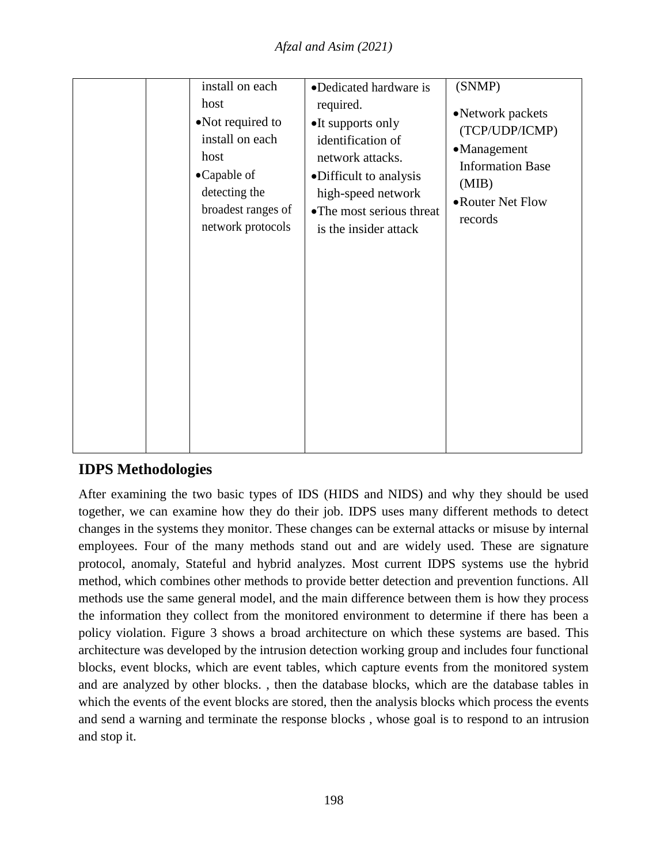|  | install on each<br>host<br>•Not required to<br>install on each<br>host<br>•Capable of<br>detecting the<br>broadest ranges of<br>network protocols | •Dedicated hardware is<br>required.<br>•It supports only<br>identification of<br>network attacks.<br>•Difficult to analysis<br>high-speed network<br>• The most serious threat<br>is the insider attack | (SNMP)<br>•Network packets<br>(TCP/UDP/ICMP)<br>•Management<br><b>Information Base</b><br>(MIB)<br>• Router Net Flow<br>records |
|--|---------------------------------------------------------------------------------------------------------------------------------------------------|---------------------------------------------------------------------------------------------------------------------------------------------------------------------------------------------------------|---------------------------------------------------------------------------------------------------------------------------------|
|--|---------------------------------------------------------------------------------------------------------------------------------------------------|---------------------------------------------------------------------------------------------------------------------------------------------------------------------------------------------------------|---------------------------------------------------------------------------------------------------------------------------------|

# **IDPS Methodologies**

After examining the two basic types of IDS (HIDS and NIDS) and why they should be used together, we can examine how they do their job. IDPS uses many different methods to detect changes in the systems they monitor. These changes can be external attacks or misuse by internal employees. Four of the many methods stand out and are widely used. These are signature protocol, anomaly, Stateful and hybrid analyzes. Most current IDPS systems use the hybrid method, which combines other methods to provide better detection and prevention functions. All methods use the same general model, and the main difference between them is how they process the information they collect from the monitored environment to determine if there has been a policy violation. Figure 3 shows a broad architecture on which these systems are based. This architecture was developed by the intrusion detection working group and includes four functional blocks, event blocks, which are event tables, which capture events from the monitored system and are analyzed by other blocks. , then the database blocks, which are the database tables in which the events of the event blocks are stored, then the analysis blocks which process the events and send a warning and terminate the response blocks , whose goal is to respond to an intrusion and stop it.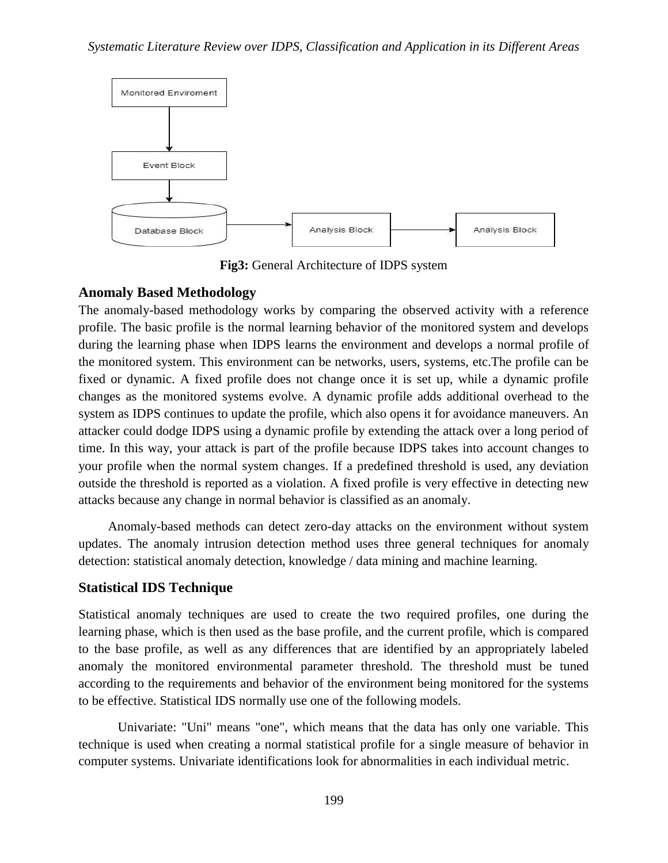

**Fig3:** General Architecture of IDPS system

### **Anomaly Based Methodology**

The anomaly-based methodology works by comparing the observed activity with a reference profile. The basic profile is the normal learning behavior of the monitored system and develops during the learning phase when IDPS learns the environment and develops a normal profile of the monitored system. This environment can be networks, users, systems, etc.The profile can be fixed or dynamic. A fixed profile does not change once it is set up, while a dynamic profile changes as the monitored systems evolve. A dynamic profile adds additional overhead to the system as IDPS continues to update the profile, which also opens it for avoidance maneuvers. An attacker could dodge IDPS using a dynamic profile by extending the attack over a long period of time. In this way, your attack is part of the profile because IDPS takes into account changes to your profile when the normal system changes. If a predefined threshold is used, any deviation outside the threshold is reported as a violation. A fixed profile is very effective in detecting new attacks because any change in normal behavior is classified as an anomaly.

Anomaly-based methods can detect zero-day attacks on the environment without system updates. The anomaly intrusion detection method uses three general techniques for anomaly detection: statistical anomaly detection, knowledge / data mining and machine learning.

### **Statistical IDS Technique**

Statistical anomaly techniques are used to create the two required profiles, one during the learning phase, which is then used as the base profile, and the current profile, which is compared to the base profile, as well as any differences that are identified by an appropriately labeled anomaly the monitored environmental parameter threshold. The threshold must be tuned according to the requirements and behavior of the environment being monitored for the systems to be effective. Statistical IDS normally use one of the following models.

Univariate: "Uni" means "one", which means that the data has only one variable. This technique is used when creating a normal statistical profile for a single measure of behavior in computer systems. Univariate identifications look for abnormalities in each individual metric.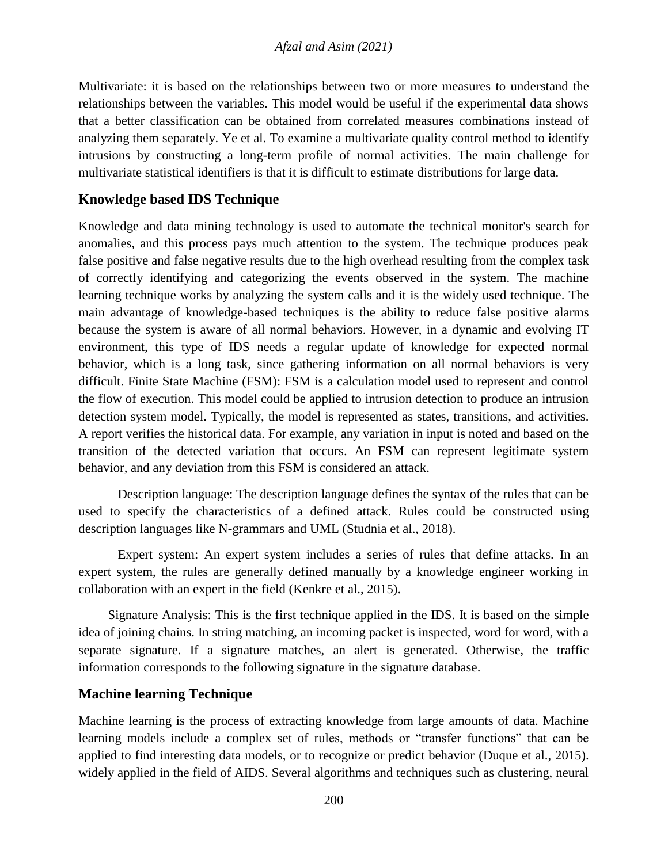Multivariate: it is based on the relationships between two or more measures to understand the relationships between the variables. This model would be useful if the experimental data shows that a better classification can be obtained from correlated measures combinations instead of analyzing them separately. Ye et al. To examine a multivariate quality control method to identify intrusions by constructing a long-term profile of normal activities. The main challenge for multivariate statistical identifiers is that it is difficult to estimate distributions for large data.

## **Knowledge based IDS Technique**

Knowledge and data mining technology is used to automate the technical monitor's search for anomalies, and this process pays much attention to the system. The technique produces peak false positive and false negative results due to the high overhead resulting from the complex task of correctly identifying and categorizing the events observed in the system. The machine learning technique works by analyzing the system calls and it is the widely used technique. The main advantage of knowledge-based techniques is the ability to reduce false positive alarms because the system is aware of all normal behaviors. However, in a dynamic and evolving IT environment, this type of IDS needs a regular update of knowledge for expected normal behavior, which is a long task, since gathering information on all normal behaviors is very difficult. Finite State Machine (FSM): FSM is a calculation model used to represent and control the flow of execution. This model could be applied to intrusion detection to produce an intrusion detection system model. Typically, the model is represented as states, transitions, and activities. A report verifies the historical data. For example, any variation in input is noted and based on the transition of the detected variation that occurs. An FSM can represent legitimate system behavior, and any deviation from this FSM is considered an attack.

Description language: The description language defines the syntax of the rules that can be used to specify the characteristics of a defined attack. Rules could be constructed using description languages like N-grammars and UML (Studnia et al., 2018).

Expert system: An expert system includes a series of rules that define attacks. In an expert system, the rules are generally defined manually by a knowledge engineer working in collaboration with an expert in the field (Kenkre et al., 2015).

Signature Analysis: This is the first technique applied in the IDS. It is based on the simple idea of joining chains. In string matching, an incoming packet is inspected, word for word, with a separate signature. If a signature matches, an alert is generated. Otherwise, the traffic information corresponds to the following signature in the signature database.

### **Machine learning Technique**

Machine learning is the process of extracting knowledge from large amounts of data. Machine learning models include a complex set of rules, methods or "transfer functions" that can be applied to find interesting data models, or to recognize or predict behavior (Duque et al., 2015). widely applied in the field of AIDS. Several algorithms and techniques such as clustering, neural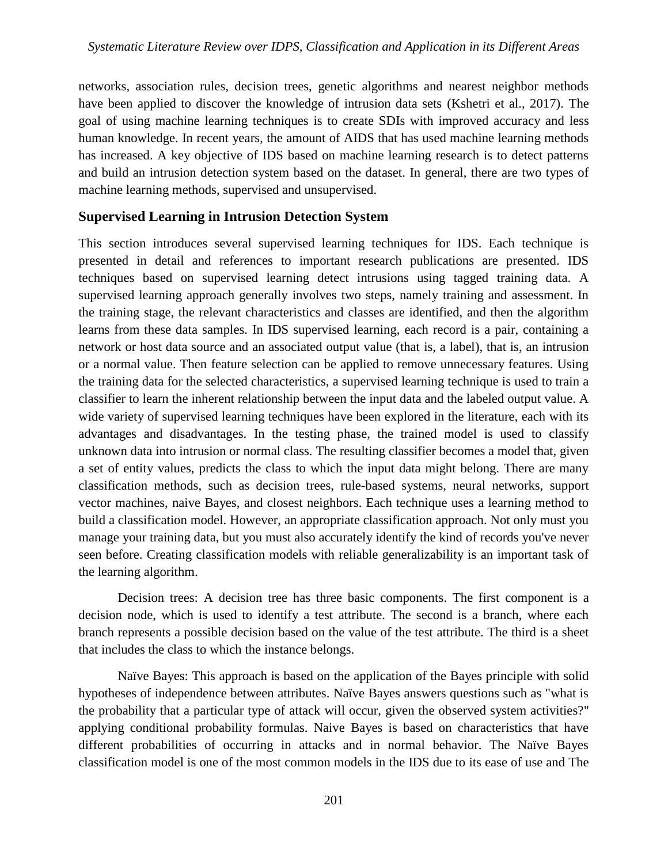networks, association rules, decision trees, genetic algorithms and nearest neighbor methods have been applied to discover the knowledge of intrusion data sets (Kshetri et al., 2017). The goal of using machine learning techniques is to create SDIs with improved accuracy and less human knowledge. In recent years, the amount of AIDS that has used machine learning methods has increased. A key objective of IDS based on machine learning research is to detect patterns and build an intrusion detection system based on the dataset. In general, there are two types of machine learning methods, supervised and unsupervised.

## **Supervised Learning in Intrusion Detection System**

This section introduces several supervised learning techniques for IDS. Each technique is presented in detail and references to important research publications are presented. IDS techniques based on supervised learning detect intrusions using tagged training data. A supervised learning approach generally involves two steps, namely training and assessment. In the training stage, the relevant characteristics and classes are identified, and then the algorithm learns from these data samples. In IDS supervised learning, each record is a pair, containing a network or host data source and an associated output value (that is, a label), that is, an intrusion or a normal value. Then feature selection can be applied to remove unnecessary features. Using the training data for the selected characteristics, a supervised learning technique is used to train a classifier to learn the inherent relationship between the input data and the labeled output value. A wide variety of supervised learning techniques have been explored in the literature, each with its advantages and disadvantages. In the testing phase, the trained model is used to classify unknown data into intrusion or normal class. The resulting classifier becomes a model that, given a set of entity values, predicts the class to which the input data might belong. There are many classification methods, such as decision trees, rule-based systems, neural networks, support vector machines, naive Bayes, and closest neighbors. Each technique uses a learning method to build a classification model. However, an appropriate classification approach. Not only must you manage your training data, but you must also accurately identify the kind of records you've never seen before. Creating classification models with reliable generalizability is an important task of the learning algorithm.

Decision trees: A decision tree has three basic components. The first component is a decision node, which is used to identify a test attribute. The second is a branch, where each branch represents a possible decision based on the value of the test attribute. The third is a sheet that includes the class to which the instance belongs.

Naïve Bayes: This approach is based on the application of the Bayes principle with solid hypotheses of independence between attributes. Naïve Bayes answers questions such as "what is the probability that a particular type of attack will occur, given the observed system activities?" applying conditional probability formulas. Naive Bayes is based on characteristics that have different probabilities of occurring in attacks and in normal behavior. The Naïve Bayes classification model is one of the most common models in the IDS due to its ease of use and The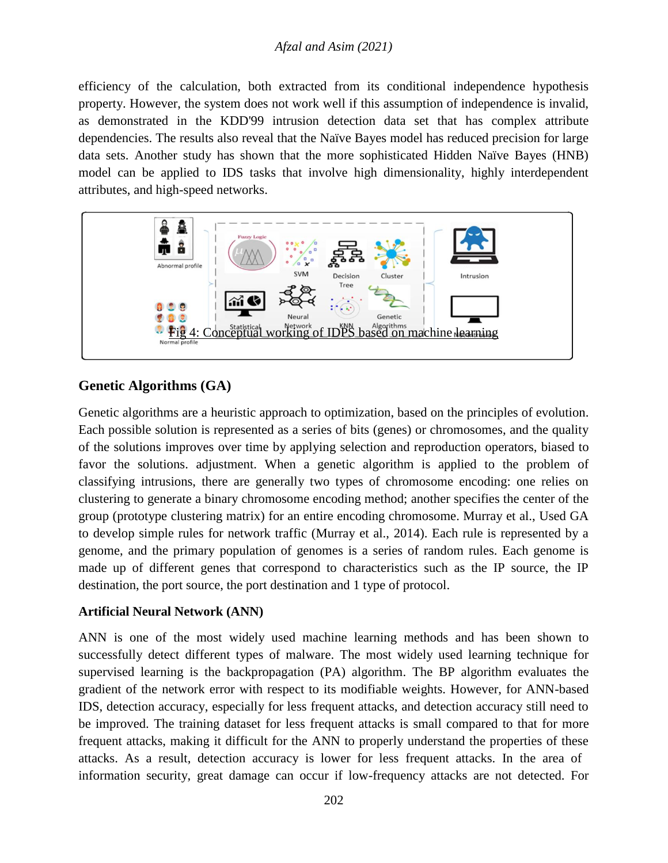## *Afzal and Asim (2021)*

efficiency of the calculation, both extracted from its conditional independence hypothesis property. However, the system does not work well if this assumption of independence is invalid, as demonstrated in the KDD'99 intrusion detection data set that has complex attribute dependencies. The results also reveal that the Naïve Bayes model has reduced precision for large data sets. Another study has shown that the more sophisticated Hidden Naïve Bayes (HNB) model can be applied to IDS tasks that involve high dimensionality, highly interdependent attributes, and high-speed networks.



## **Genetic Algorithms (GA)**

Genetic algorithms are a heuristic approach to optimization, based on the principles of evolution. Each possible solution is represented as a series of bits (genes) or chromosomes, and the quality of the solutions improves over time by applying selection and reproduction operators, biased to favor the solutions. adjustment. When a genetic algorithm is applied to the problem of classifying intrusions, there are generally two types of chromosome encoding: one relies on clustering to generate a binary chromosome encoding method; another specifies the center of the group (prototype clustering matrix) for an entire encoding chromosome. Murray et al., Used GA to develop simple rules for network traffic (Murray et al., 2014). Each rule is represented by a genome, and the primary population of genomes is a series of random rules. Each genome is made up of different genes that correspond to characteristics such as the IP source, the IP destination, the port source, the port destination and 1 type of protocol.

### **Artificial Neural Network (ANN)**

ANN is one of the most widely used machine learning methods and has been shown to successfully detect different types of malware. The most widely used learning technique for supervised learning is the backpropagation (PA) algorithm. The BP algorithm evaluates the gradient of the network error with respect to its modifiable weights. However, for ANN-based IDS, detection accuracy, especially for less frequent attacks, and detection accuracy still need to be improved. The training dataset for less frequent attacks is small compared to that for more frequent attacks, making it difficult for the ANN to properly understand the properties of these attacks. As a result, detection accuracy is lower for less frequent attacks. In the area of information security, great damage can occur if low-frequency attacks are not detected. For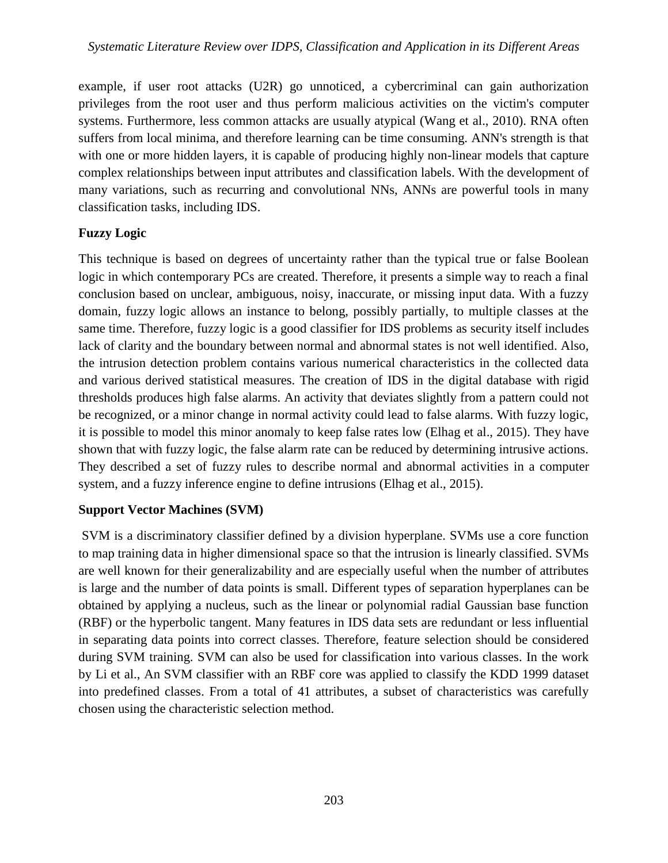example, if user root attacks (U2R) go unnoticed, a cybercriminal can gain authorization privileges from the root user and thus perform malicious activities on the victim's computer systems. Furthermore, less common attacks are usually atypical (Wang et al., 2010). RNA often suffers from local minima, and therefore learning can be time consuming. ANN's strength is that with one or more hidden layers, it is capable of producing highly non-linear models that capture complex relationships between input attributes and classification labels. With the development of many variations, such as recurring and convolutional NNs, ANNs are powerful tools in many classification tasks, including IDS.

## **Fuzzy Logic**

This technique is based on degrees of uncertainty rather than the typical true or false Boolean logic in which contemporary PCs are created. Therefore, it presents a simple way to reach a final conclusion based on unclear, ambiguous, noisy, inaccurate, or missing input data. With a fuzzy domain, fuzzy logic allows an instance to belong, possibly partially, to multiple classes at the same time. Therefore, fuzzy logic is a good classifier for IDS problems as security itself includes lack of clarity and the boundary between normal and abnormal states is not well identified. Also, the intrusion detection problem contains various numerical characteristics in the collected data and various derived statistical measures. The creation of IDS in the digital database with rigid thresholds produces high false alarms. An activity that deviates slightly from a pattern could not be recognized, or a minor change in normal activity could lead to false alarms. With fuzzy logic, it is possible to model this minor anomaly to keep false rates low (Elhag et al., 2015). They have shown that with fuzzy logic, the false alarm rate can be reduced by determining intrusive actions. They described a set of fuzzy rules to describe normal and abnormal activities in a computer system, and a fuzzy inference engine to define intrusions (Elhag et al., 2015).

## **Support Vector Machines (SVM)**

SVM is a discriminatory classifier defined by a division hyperplane. SVMs use a core function to map training data in higher dimensional space so that the intrusion is linearly classified. SVMs are well known for their generalizability and are especially useful when the number of attributes is large and the number of data points is small. Different types of separation hyperplanes can be obtained by applying a nucleus, such as the linear or polynomial radial Gaussian base function (RBF) or the hyperbolic tangent. Many features in IDS data sets are redundant or less influential in separating data points into correct classes. Therefore, feature selection should be considered during SVM training. SVM can also be used for classification into various classes. In the work by Li et al., An SVM classifier with an RBF core was applied to classify the KDD 1999 dataset into predefined classes. From a total of 41 attributes, a subset of characteristics was carefully chosen using the characteristic selection method.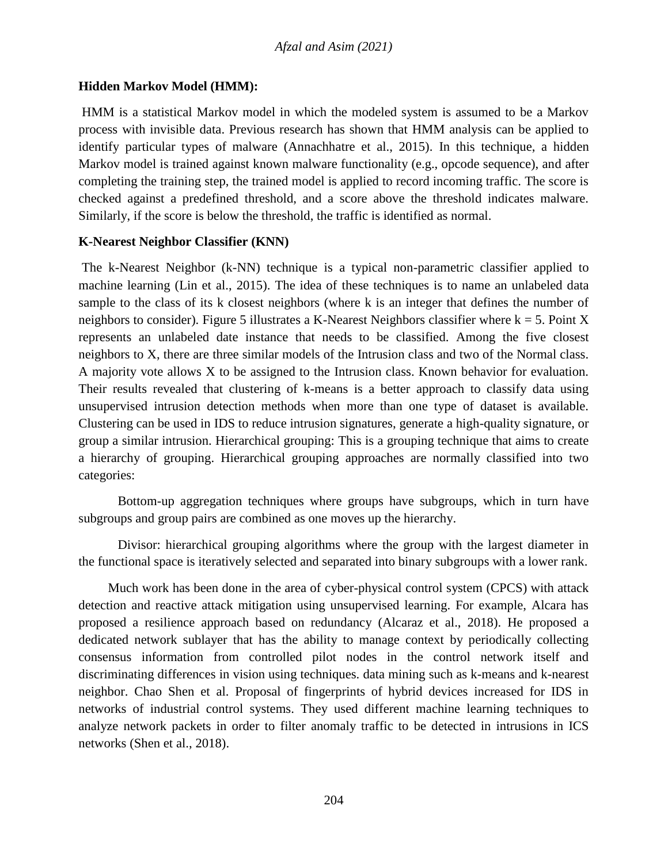### **Hidden Markov Model (HMM):**

HMM is a statistical Markov model in which the modeled system is assumed to be a Markov process with invisible data. Previous research has shown that HMM analysis can be applied to identify particular types of malware (Annachhatre et al., 2015). In this technique, a hidden Markov model is trained against known malware functionality (e.g., opcode sequence), and after completing the training step, the trained model is applied to record incoming traffic. The score is checked against a predefined threshold, and a score above the threshold indicates malware. Similarly, if the score is below the threshold, the traffic is identified as normal.

### **K-Nearest Neighbor Classifier (KNN)**

The k-Nearest Neighbor (k-NN) technique is a typical non-parametric classifier applied to machine learning (Lin et al., 2015). The idea of these techniques is to name an unlabeled data sample to the class of its k closest neighbors (where k is an integer that defines the number of neighbors to consider). Figure 5 illustrates a K-Nearest Neighbors classifier where  $k = 5$ . Point X represents an unlabeled date instance that needs to be classified. Among the five closest neighbors to X, there are three similar models of the Intrusion class and two of the Normal class. A majority vote allows X to be assigned to the Intrusion class. Known behavior for evaluation. Their results revealed that clustering of k-means is a better approach to classify data using unsupervised intrusion detection methods when more than one type of dataset is available. Clustering can be used in IDS to reduce intrusion signatures, generate a high-quality signature, or group a similar intrusion. Hierarchical grouping: This is a grouping technique that aims to create a hierarchy of grouping. Hierarchical grouping approaches are normally classified into two categories:

Bottom-up aggregation techniques where groups have subgroups, which in turn have subgroups and group pairs are combined as one moves up the hierarchy.

Divisor: hierarchical grouping algorithms where the group with the largest diameter in the functional space is iteratively selected and separated into binary subgroups with a lower rank.

Much work has been done in the area of cyber-physical control system (CPCS) with attack detection and reactive attack mitigation using unsupervised learning. For example, Alcara has proposed a resilience approach based on redundancy (Alcaraz et al., 2018). He proposed a dedicated network sublayer that has the ability to manage context by periodically collecting consensus information from controlled pilot nodes in the control network itself and discriminating differences in vision using techniques. data mining such as k-means and k-nearest neighbor. Chao Shen et al. Proposal of fingerprints of hybrid devices increased for IDS in networks of industrial control systems. They used different machine learning techniques to analyze network packets in order to filter anomaly traffic to be detected in intrusions in ICS networks (Shen et al., 2018).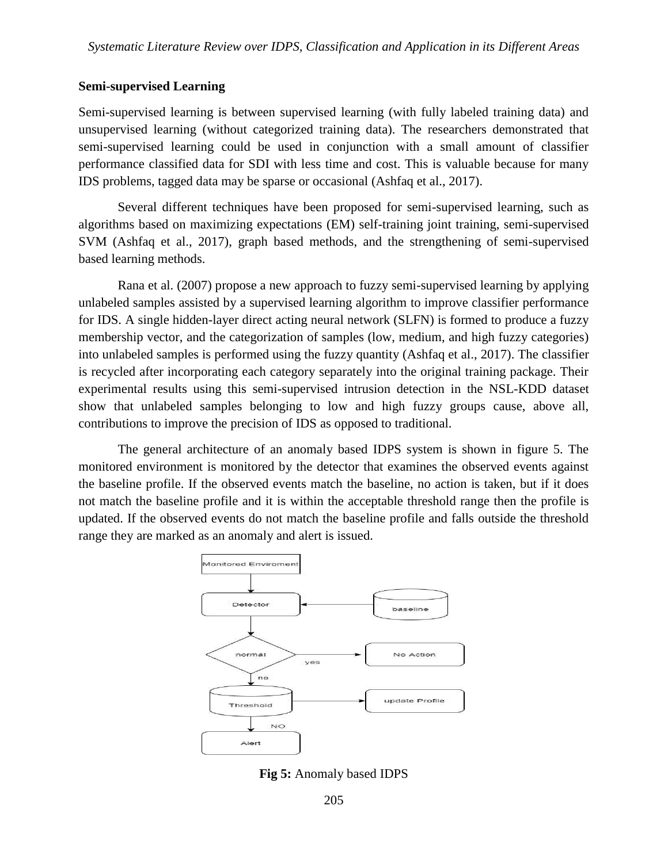### **Semi-supervised Learning**

Semi-supervised learning is between supervised learning (with fully labeled training data) and unsupervised learning (without categorized training data). The researchers demonstrated that semi-supervised learning could be used in conjunction with a small amount of classifier performance classified data for SDI with less time and cost. This is valuable because for many IDS problems, tagged data may be sparse or occasional (Ashfaq et al., 2017).

Several different techniques have been proposed for semi-supervised learning, such as algorithms based on maximizing expectations (EM) self-training joint training, semi-supervised SVM (Ashfaq et al., 2017), graph based methods, and the strengthening of semi-supervised based learning methods.

Rana et al. (2007) propose a new approach to fuzzy semi-supervised learning by applying unlabeled samples assisted by a supervised learning algorithm to improve classifier performance for IDS. A single hidden-layer direct acting neural network (SLFN) is formed to produce a fuzzy membership vector, and the categorization of samples (low, medium, and high fuzzy categories) into unlabeled samples is performed using the fuzzy quantity (Ashfaq et al., 2017). The classifier is recycled after incorporating each category separately into the original training package. Their experimental results using this semi-supervised intrusion detection in the NSL-KDD dataset show that unlabeled samples belonging to low and high fuzzy groups cause, above all, contributions to improve the precision of IDS as opposed to traditional.

The general architecture of an anomaly based IDPS system is shown in figure 5. The monitored environment is monitored by the detector that examines the observed events against the baseline profile. If the observed events match the baseline, no action is taken, but if it does not match the baseline profile and it is within the acceptable threshold range then the profile is updated. If the observed events do not match the baseline profile and falls outside the threshold range they are marked as an anomaly and alert is issued.



**Fig 5:** Anomaly based IDPS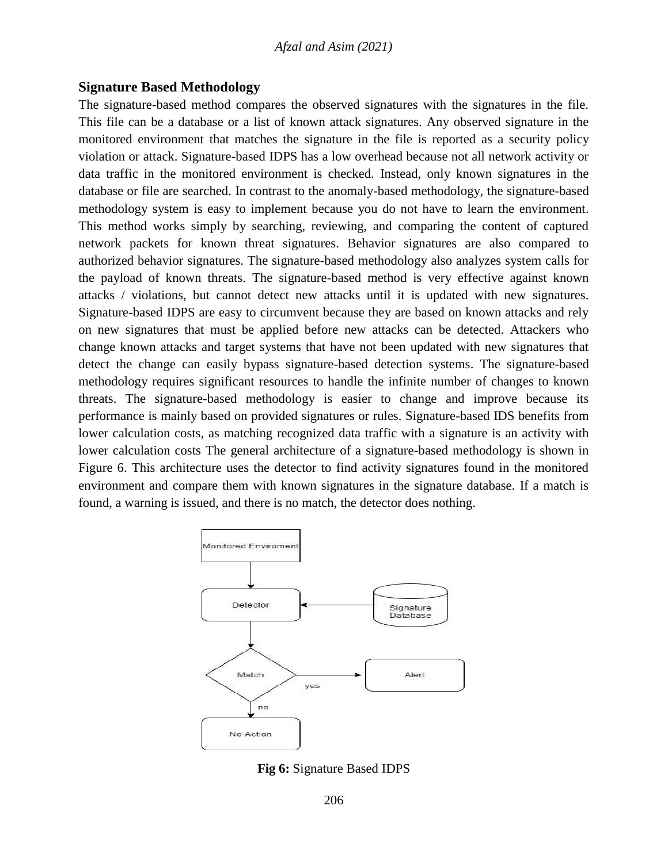### **Signature Based Methodology**

The signature-based method compares the observed signatures with the signatures in the file. This file can be a database or a list of known attack signatures. Any observed signature in the monitored environment that matches the signature in the file is reported as a security policy violation or attack. Signature-based IDPS has a low overhead because not all network activity or data traffic in the monitored environment is checked. Instead, only known signatures in the database or file are searched. In contrast to the anomaly-based methodology, the signature-based methodology system is easy to implement because you do not have to learn the environment. This method works simply by searching, reviewing, and comparing the content of captured network packets for known threat signatures. Behavior signatures are also compared to authorized behavior signatures. The signature-based methodology also analyzes system calls for the payload of known threats. The signature-based method is very effective against known attacks / violations, but cannot detect new attacks until it is updated with new signatures. Signature-based IDPS are easy to circumvent because they are based on known attacks and rely on new signatures that must be applied before new attacks can be detected. Attackers who change known attacks and target systems that have not been updated with new signatures that detect the change can easily bypass signature-based detection systems. The signature-based methodology requires significant resources to handle the infinite number of changes to known threats. The signature-based methodology is easier to change and improve because its performance is mainly based on provided signatures or rules. Signature-based IDS benefits from lower calculation costs, as matching recognized data traffic with a signature is an activity with lower calculation costs The general architecture of a signature-based methodology is shown in Figure 6. This architecture uses the detector to find activity signatures found in the monitored environment and compare them with known signatures in the signature database. If a match is found, a warning is issued, and there is no match, the detector does nothing.



**Fig 6:** Signature Based IDPS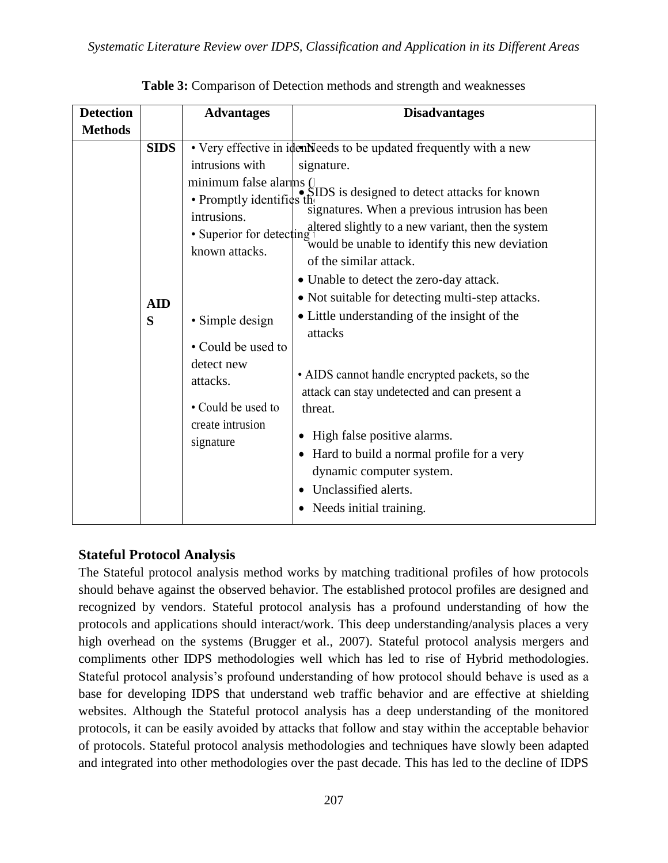| <b>Detection</b> |                                | <b>Advantages</b>                                                                                                                                        | <b>Disadvantages</b>                                                                                                                                                                                                                                                                                                                                                                                                                                                                                                                                                                                                                                                                                                                                                                                                                   |
|------------------|--------------------------------|----------------------------------------------------------------------------------------------------------------------------------------------------------|----------------------------------------------------------------------------------------------------------------------------------------------------------------------------------------------------------------------------------------------------------------------------------------------------------------------------------------------------------------------------------------------------------------------------------------------------------------------------------------------------------------------------------------------------------------------------------------------------------------------------------------------------------------------------------------------------------------------------------------------------------------------------------------------------------------------------------------|
| <b>Methods</b>   | <b>SIDS</b><br><b>AID</b><br>S | intrusions with<br>intrusions.<br>· Simple design<br>• Could be used to<br>detect new<br>attacks.<br>• Could be used to<br>create intrusion<br>signature | • Very effective in identifieeds to be updated frequently with a new<br>signature.<br>minimum false alarms ( $\int_{\infty}$ SIDS is designed to detect attacks for known<br>signatures. When a previous intrusion has been<br>altered slightly to a new variant, then the system<br>• Superior for detecting $\frac{1}{2}$ would be unable to identify this new deviation<br>of the similar attack.<br>• Unable to detect the zero-day attack.<br>• Not suitable for detecting multi-step attacks.<br>• Little understanding of the insight of the<br>attacks<br>• AIDS cannot handle encrypted packets, so the<br>attack can stay undetected and can present a<br>threat.<br>High false positive alarms.<br>Hard to build a normal profile for a very<br>dynamic computer system.<br>Unclassified alerts.<br>Needs initial training. |

**Table 3:** Comparison of Detection methods and strength and weaknesses

# **Stateful Protocol Analysis**

The Stateful protocol analysis method works by matching traditional profiles of how protocols should behave against the observed behavior. The established protocol profiles are designed and recognized by vendors. Stateful protocol analysis has a profound understanding of how the protocols and applications should interact/work. This deep understanding/analysis places a very high overhead on the systems (Brugger et al., 2007). Stateful protocol analysis mergers and compliments other IDPS methodologies well which has led to rise of Hybrid methodologies. Stateful protocol analysis's profound understanding of how protocol should behave is used as a base for developing IDPS that understand web traffic behavior and are effective at shielding websites. Although the Stateful protocol analysis has a deep understanding of the monitored protocols, it can be easily avoided by attacks that follow and stay within the acceptable behavior of protocols. Stateful protocol analysis methodologies and techniques have slowly been adapted and integrated into other methodologies over the past decade. This has led to the decline of IDPS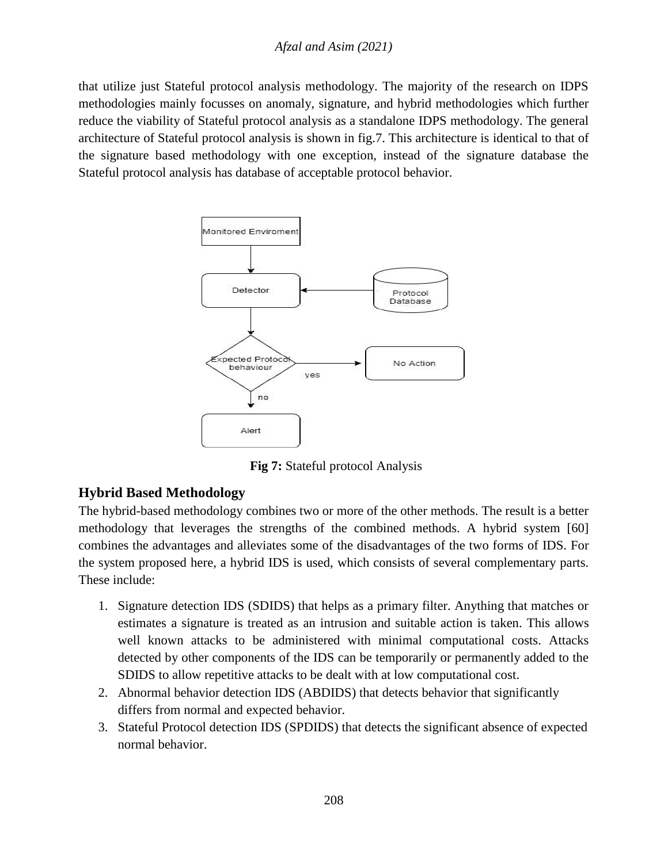### *Afzal and Asim (2021)*

that utilize just Stateful protocol analysis methodology. The majority of the research on IDPS methodologies mainly focusses on anomaly, signature, and hybrid methodologies which further reduce the viability of Stateful protocol analysis as a standalone IDPS methodology. The general architecture of Stateful protocol analysis is shown in fig.7. This architecture is identical to that of the signature based methodology with one exception, instead of the signature database the Stateful protocol analysis has database of acceptable protocol behavior.



**Fig 7:** Stateful protocol Analysis

# **Hybrid Based Methodology**

The hybrid-based methodology combines two or more of the other methods. The result is a better methodology that leverages the strengths of the combined methods. A hybrid system [60] combines the advantages and alleviates some of the disadvantages of the two forms of IDS. For the system proposed here, a hybrid IDS is used, which consists of several complementary parts. These include:

- 1. Signature detection IDS (SDIDS) that helps as a primary filter. Anything that matches or estimates a signature is treated as an intrusion and suitable action is taken. This allows well known attacks to be administered with minimal computational costs. Attacks detected by other components of the IDS can be temporarily or permanently added to the SDIDS to allow repetitive attacks to be dealt with at low computational cost.
- 2. Abnormal behavior detection IDS (ABDIDS) that detects behavior that significantly differs from normal and expected behavior.
- 3. Stateful Protocol detection IDS (SPDIDS) that detects the significant absence of expected normal behavior.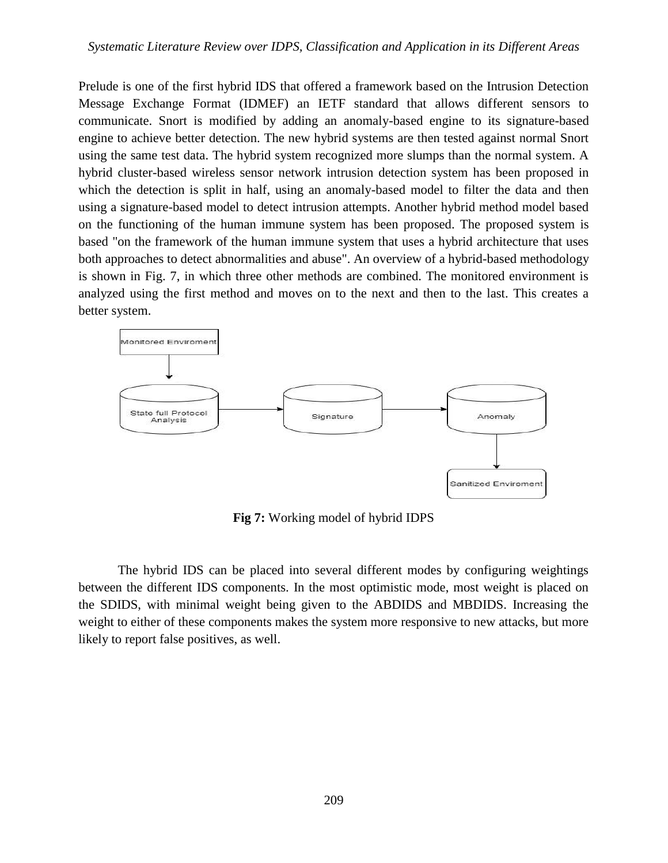Prelude is one of the first hybrid IDS that offered a framework based on the Intrusion Detection Message Exchange Format (IDMEF) an IETF standard that allows different sensors to communicate. Snort is modified by adding an anomaly-based engine to its signature-based engine to achieve better detection. The new hybrid systems are then tested against normal Snort using the same test data. The hybrid system recognized more slumps than the normal system. A hybrid cluster-based wireless sensor network intrusion detection system has been proposed in which the detection is split in half, using an anomaly-based model to filter the data and then using a signature-based model to detect intrusion attempts. Another hybrid method model based on the functioning of the human immune system has been proposed. The proposed system is based "on the framework of the human immune system that uses a hybrid architecture that uses both approaches to detect abnormalities and abuse". An overview of a hybrid-based methodology is shown in Fig. 7, in which three other methods are combined. The monitored environment is analyzed using the first method and moves on to the next and then to the last. This creates a better system.



**Fig 7:** Working model of hybrid IDPS

The hybrid IDS can be placed into several different modes by configuring weightings between the different IDS components. In the most optimistic mode, most weight is placed on the SDIDS, with minimal weight being given to the ABDIDS and MBDIDS. Increasing the weight to either of these components makes the system more responsive to new attacks, but more likely to report false positives, as well.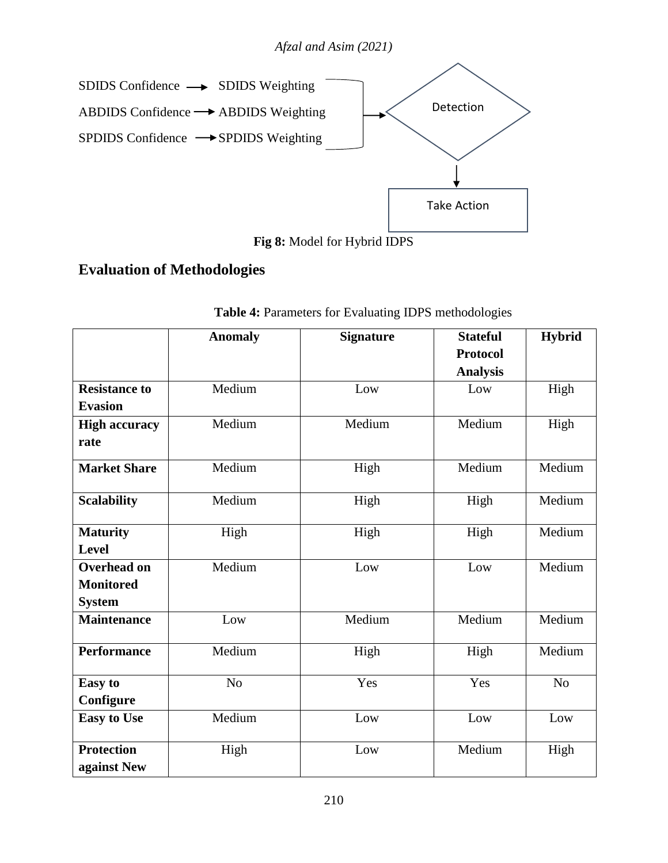

**Fig 8:** Model for Hybrid IDPS

# **Evaluation of Methodologies**

|                                                         | <b>Anomaly</b> | <b>Signature</b> | <b>Stateful</b><br><b>Protocol</b><br><b>Analysis</b> | <b>Hybrid</b> |
|---------------------------------------------------------|----------------|------------------|-------------------------------------------------------|---------------|
| <b>Resistance to</b><br><b>Evasion</b>                  | Medium         | Low              | Low                                                   | High          |
| <b>High accuracy</b><br>rate                            | Medium         | Medium           | Medium                                                | High          |
| <b>Market Share</b>                                     | Medium         | High             | Medium                                                | Medium        |
| <b>Scalability</b>                                      | Medium         | High             | High                                                  | Medium        |
| <b>Maturity</b><br><b>Level</b>                         | High           | High             | High                                                  | Medium        |
| <b>Overhead on</b><br><b>Monitored</b><br><b>System</b> | Medium         | Low              | Low                                                   | Medium        |
| <b>Maintenance</b>                                      | Low            | Medium           | Medium                                                | Medium        |
| <b>Performance</b>                                      | Medium         | High             | High                                                  | Medium        |
| <b>Easy</b> to<br>Configure                             | No             | Yes              | Yes                                                   | No            |
| <b>Easy to Use</b>                                      | Medium         | Low              | Low                                                   | Low           |
| <b>Protection</b><br>against New                        | High           | Low              | Medium                                                | High          |

**Table 4:** Parameters for Evaluating IDPS methodologies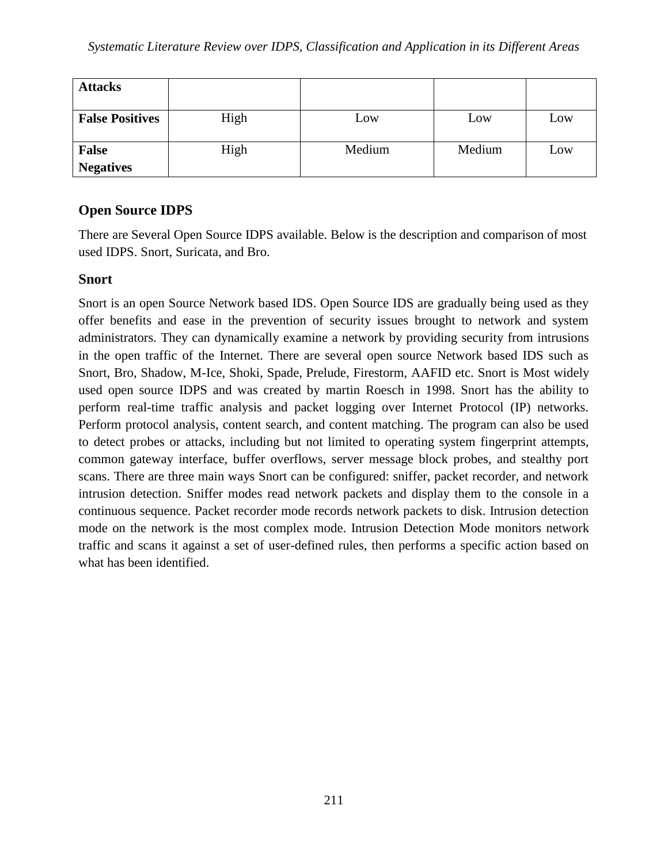| <b>Attacks</b>                   |      |        |        |     |
|----------------------------------|------|--------|--------|-----|
| <b>False Positives</b>           | High | Low    | Low    | Low |
| <b>False</b><br><b>Negatives</b> | High | Medium | Medium | Low |

# **Open Source IDPS**

There are Several Open Source IDPS available. Below is the description and comparison of most used IDPS. Snort, Suricata, and Bro.

## **Snort**

Snort is an open Source Network based IDS. Open Source IDS are gradually being used as they offer benefits and ease in the prevention of security issues brought to network and system administrators. They can dynamically examine a network by providing security from intrusions in the open traffic of the Internet. There are several open source Network based IDS such as Snort, Bro, Shadow, M-Ice, Shoki, Spade, Prelude, Firestorm, AAFID etc. Snort is Most widely used open source IDPS and was created by martin Roesch in 1998. Snort has the ability to perform real-time traffic analysis and packet logging over Internet Protocol (IP) networks. Perform protocol analysis, content search, and content matching. The program can also be used to detect probes or attacks, including but not limited to operating system fingerprint attempts, common gateway interface, buffer overflows, server message block probes, and stealthy port scans. There are three main ways Snort can be configured: sniffer, packet recorder, and network intrusion detection. Sniffer modes read network packets and display them to the console in a continuous sequence. Packet recorder mode records network packets to disk. Intrusion detection mode on the network is the most complex mode. Intrusion Detection Mode monitors network traffic and scans it against a set of user-defined rules, then performs a specific action based on what has been identified.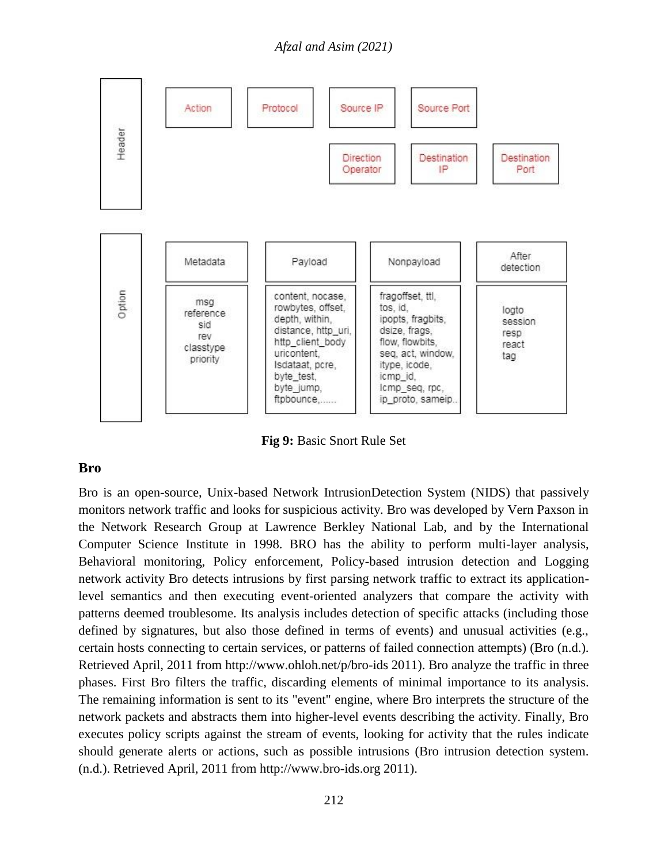*Afzal and Asim (2021)*



**Fig 9:** Basic Snort Rule Set

### **Bro**

Bro is an open-source, Unix-based Network IntrusionDetection System (NIDS) that passively monitors network traffic and looks for suspicious activity. Bro was developed by Vern Paxson in the Network Research Group at Lawrence Berkley National Lab, and by the International Computer Science Institute in 1998. BRO has the ability to perform multi-layer analysis, Behavioral monitoring, Policy enforcement, Policy-based intrusion detection and Logging network activity Bro detects intrusions by first parsing network traffic to extract its applicationlevel semantics and then executing event-oriented analyzers that compare the activity with patterns deemed troublesome. Its analysis includes detection of specific attacks (including those defined by signatures, but also those defined in terms of events) and unusual activities (e.g., certain hosts connecting to certain services, or patterns of failed connection attempts) (Bro (n.d.). Retrieved April, 2011 from http://www.ohloh.net/p/bro-ids 2011). Bro analyze the traffic in three phases. First Bro filters the traffic, discarding elements of minimal importance to its analysis. The remaining information is sent to its "event" engine, where Bro interprets the structure of the network packets and abstracts them into higher-level events describing the activity. Finally, Bro executes policy scripts against the stream of events, looking for activity that the rules indicate should generate alerts or actions, such as possible intrusions (Bro intrusion detection system. (n.d.). Retrieved April, 2011 from http://www.bro-ids.org 2011).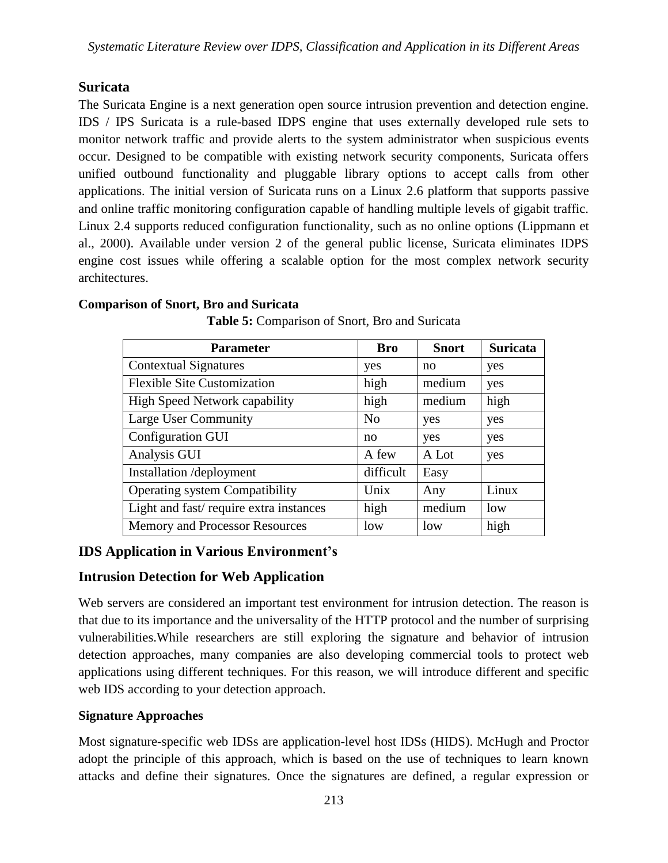# **Suricata**

The Suricata Engine is a next generation open source intrusion prevention and detection engine. IDS / IPS Suricata is a rule-based IDPS engine that uses externally developed rule sets to monitor network traffic and provide alerts to the system administrator when suspicious events occur. Designed to be compatible with existing network security components, Suricata offers unified outbound functionality and pluggable library options to accept calls from other applications. The initial version of Suricata runs on a Linux 2.6 platform that supports passive and online traffic monitoring configuration capable of handling multiple levels of gigabit traffic. Linux 2.4 supports reduced configuration functionality, such as no online options (Lippmann et al., 2000). Available under version 2 of the general public license, Suricata eliminates IDPS engine cost issues while offering a scalable option for the most complex network security architectures.

## **Comparison of Snort, Bro and Suricata**

| <b>Parameter</b>                       | <b>Bro</b>     | <b>Snort</b> | <b>Suricata</b> |
|----------------------------------------|----------------|--------------|-----------------|
| <b>Contextual Signatures</b>           | yes            | no           | yes             |
| <b>Flexible Site Customization</b>     | high           | medium       | yes             |
| <b>High Speed Network capability</b>   | high           | medium       | high            |
| Large User Community                   | N <sub>0</sub> | yes          | yes             |
| Configuration GUI                      | no             | yes          | yes             |
| Analysis GUI                           | A few          | A Lot        | yes             |
| Installation /deployment               | difficult      | Easy         |                 |
| <b>Operating system Compatibility</b>  | Unix           | Any          | Linux           |
| Light and fast/require extra instances | high           | medium       | low             |
| <b>Memory and Processor Resources</b>  | low            | low          | high            |

**Table 5:** Comparison of Snort, Bro and Suricata

# **IDS Application in Various Environment's**

# **Intrusion Detection for Web Application**

Web servers are considered an important test environment for intrusion detection. The reason is that due to its importance and the universality of the HTTP protocol and the number of surprising vulnerabilities.While researchers are still exploring the signature and behavior of intrusion detection approaches, many companies are also developing commercial tools to protect web applications using different techniques. For this reason, we will introduce different and specific web IDS according to your detection approach.

# **Signature Approaches**

Most signature-specific web IDSs are application-level host IDSs (HIDS). McHugh and Proctor adopt the principle of this approach, which is based on the use of techniques to learn known attacks and define their signatures. Once the signatures are defined, a regular expression or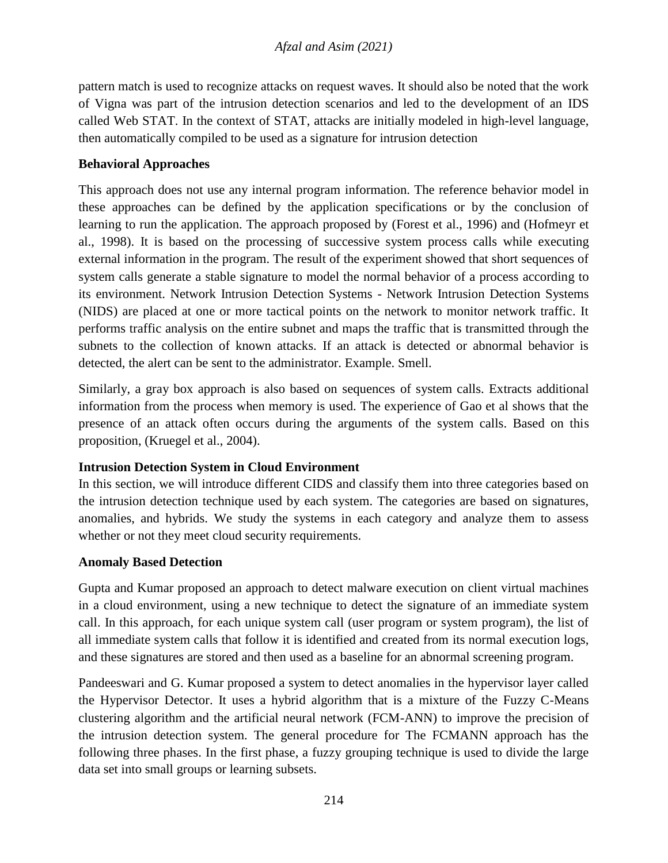pattern match is used to recognize attacks on request waves. It should also be noted that the work of Vigna was part of the intrusion detection scenarios and led to the development of an IDS called Web STAT. In the context of STAT, attacks are initially modeled in high-level language, then automatically compiled to be used as a signature for intrusion detection

## **Behavioral Approaches**

This approach does not use any internal program information. The reference behavior model in these approaches can be defined by the application specifications or by the conclusion of learning to run the application. The approach proposed by (Forest et al., 1996) and (Hofmeyr et al., 1998). It is based on the processing of successive system process calls while executing external information in the program. The result of the experiment showed that short sequences of system calls generate a stable signature to model the normal behavior of a process according to its environment. Network Intrusion Detection Systems - Network Intrusion Detection Systems (NIDS) are placed at one or more tactical points on the network to monitor network traffic. It performs traffic analysis on the entire subnet and maps the traffic that is transmitted through the subnets to the collection of known attacks. If an attack is detected or abnormal behavior is detected, the alert can be sent to the administrator. Example. Smell.

Similarly, a gray box approach is also based on sequences of system calls. Extracts additional information from the process when memory is used. The experience of Gao et al shows that the presence of an attack often occurs during the arguments of the system calls. Based on this proposition, (Kruegel et al., 2004).

### **Intrusion Detection System in Cloud Environment**

In this section, we will introduce different CIDS and classify them into three categories based on the intrusion detection technique used by each system. The categories are based on signatures, anomalies, and hybrids. We study the systems in each category and analyze them to assess whether or not they meet cloud security requirements.

### **Anomaly Based Detection**

Gupta and Kumar proposed an approach to detect malware execution on client virtual machines in a cloud environment, using a new technique to detect the signature of an immediate system call. In this approach, for each unique system call (user program or system program), the list of all immediate system calls that follow it is identified and created from its normal execution logs, and these signatures are stored and then used as a baseline for an abnormal screening program.

Pandeeswari and G. Kumar proposed a system to detect anomalies in the hypervisor layer called the Hypervisor Detector. It uses a hybrid algorithm that is a mixture of the Fuzzy C-Means clustering algorithm and the artificial neural network (FCM-ANN) to improve the precision of the intrusion detection system. The general procedure for The FCMANN approach has the following three phases. In the first phase, a fuzzy grouping technique is used to divide the large data set into small groups or learning subsets.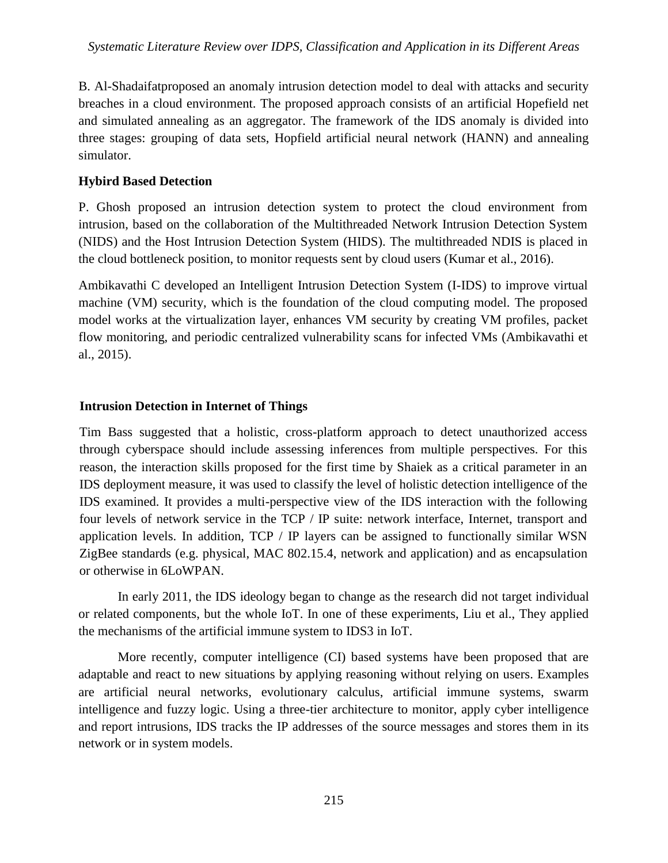B. Al-Shadaifatproposed an anomaly intrusion detection model to deal with attacks and security breaches in a cloud environment. The proposed approach consists of an artificial Hopefield net and simulated annealing as an aggregator. The framework of the IDS anomaly is divided into three stages: grouping of data sets, Hopfield artificial neural network (HANN) and annealing simulator.

## **Hybird Based Detection**

P. Ghosh proposed an intrusion detection system to protect the cloud environment from intrusion, based on the collaboration of the Multithreaded Network Intrusion Detection System (NIDS) and the Host Intrusion Detection System (HIDS). The multithreaded NDIS is placed in the cloud bottleneck position, to monitor requests sent by cloud users (Kumar et al., 2016).

Ambikavathi C developed an Intelligent Intrusion Detection System (I-IDS) to improve virtual machine (VM) security, which is the foundation of the cloud computing model. The proposed model works at the virtualization layer, enhances VM security by creating VM profiles, packet flow monitoring, and periodic centralized vulnerability scans for infected VMs (Ambikavathi et al., 2015).

## **Intrusion Detection in Internet of Things**

Tim Bass suggested that a holistic, cross-platform approach to detect unauthorized access through cyberspace should include assessing inferences from multiple perspectives. For this reason, the interaction skills proposed for the first time by Shaiek as a critical parameter in an IDS deployment measure, it was used to classify the level of holistic detection intelligence of the IDS examined. It provides a multi-perspective view of the IDS interaction with the following four levels of network service in the TCP / IP suite: network interface, Internet, transport and application levels. In addition, TCP / IP layers can be assigned to functionally similar WSN ZigBee standards (e.g. physical, MAC 802.15.4, network and application) and as encapsulation or otherwise in 6LoWPAN.

In early 2011, the IDS ideology began to change as the research did not target individual or related components, but the whole IoT. In one of these experiments, Liu et al., They applied the mechanisms of the artificial immune system to IDS3 in IoT.

More recently, computer intelligence (CI) based systems have been proposed that are adaptable and react to new situations by applying reasoning without relying on users. Examples are artificial neural networks, evolutionary calculus, artificial immune systems, swarm intelligence and fuzzy logic. Using a three-tier architecture to monitor, apply cyber intelligence and report intrusions, IDS tracks the IP addresses of the source messages and stores them in its network or in system models.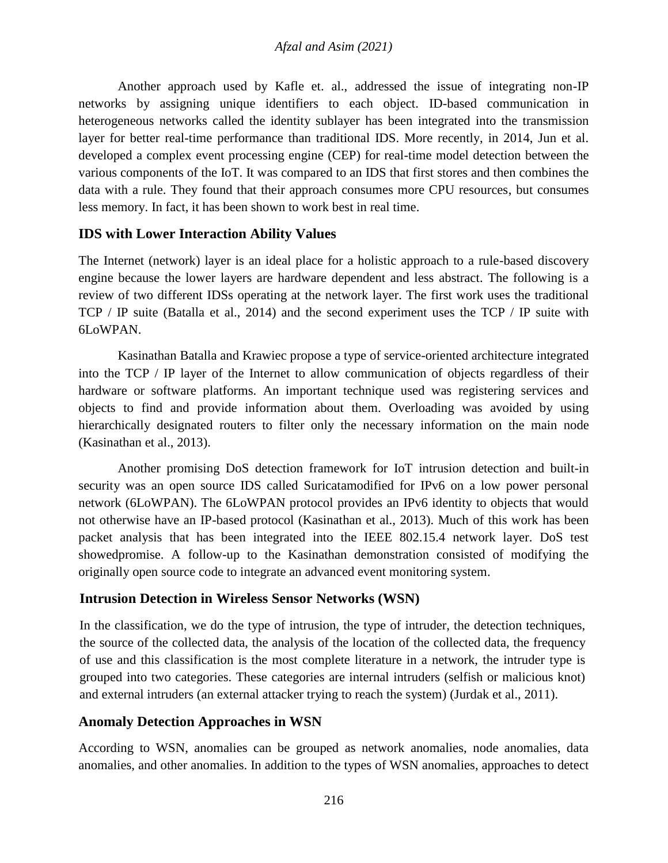Another approach used by Kafle et. al., addressed the issue of integrating non-IP networks by assigning unique identifiers to each object. ID-based communication in heterogeneous networks called the identity sublayer has been integrated into the transmission layer for better real-time performance than traditional IDS. More recently, in 2014, Jun et al. developed a complex event processing engine (CEP) for real-time model detection between the various components of the IoT. It was compared to an IDS that first stores and then combines the data with a rule. They found that their approach consumes more CPU resources, but consumes less memory. In fact, it has been shown to work best in real time.

## **IDS with Lower Interaction Ability Values**

The Internet (network) layer is an ideal place for a holistic approach to a rule-based discovery engine because the lower layers are hardware dependent and less abstract. The following is a review of two different IDSs operating at the network layer. The first work uses the traditional TCP / IP suite (Batalla et al., 2014) and the second experiment uses the TCP / IP suite with 6LoWPAN.

Kasinathan Batalla and Krawiec propose a type of service-oriented architecture integrated into the TCP / IP layer of the Internet to allow communication of objects regardless of their hardware or software platforms. An important technique used was registering services and objects to find and provide information about them. Overloading was avoided by using hierarchically designated routers to filter only the necessary information on the main node (Kasinathan et al., 2013).

Another promising DoS detection framework for IoT intrusion detection and built-in security was an open source IDS called Suricatamodified for IPv6 on a low power personal network (6LoWPAN). The 6LoWPAN protocol provides an IPv6 identity to objects that would not otherwise have an IP-based protocol (Kasinathan et al., 2013). Much of this work has been packet analysis that has been integrated into the IEEE 802.15.4 network layer. DoS test showedpromise. A follow-up to the Kasinathan demonstration consisted of modifying the originally open source code to integrate an advanced event monitoring system.

### **Intrusion Detection in Wireless Sensor Networks (WSN)**

In the classification, we do the type of intrusion, the type of intruder, the detection techniques, the source of the collected data, the analysis of the location of the collected data, the frequency of use and this classification is the most complete literature in a network, the intruder type is grouped into two categories. These categories are internal intruders (selfish or malicious knot) and external intruders (an external attacker trying to reach the system) (Jurdak et al., 2011).

## **Anomaly Detection Approaches in WSN**

According to WSN, anomalies can be grouped as network anomalies, node anomalies, data anomalies, and other anomalies. In addition to the types of WSN anomalies, approaches to detect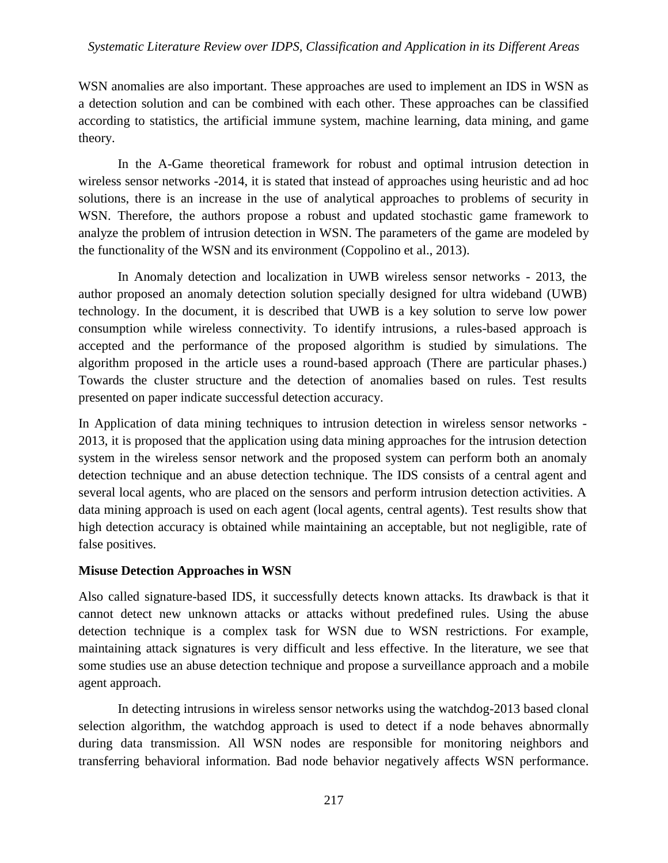### *Systematic Literature Review over IDPS, Classification and Application in its Different Areas*

WSN anomalies are also important. These approaches are used to implement an IDS in WSN as a detection solution and can be combined with each other. These approaches can be classified according to statistics, the artificial immune system, machine learning, data mining, and game theory.

In the A-Game theoretical framework for robust and optimal intrusion detection in wireless sensor networks -2014, it is stated that instead of approaches using heuristic and ad hoc solutions, there is an increase in the use of analytical approaches to problems of security in WSN. Therefore, the authors propose a robust and updated stochastic game framework to analyze the problem of intrusion detection in WSN. The parameters of the game are modeled by the functionality of the WSN and its environment (Coppolino et al., 2013).

In Anomaly detection and localization in UWB wireless sensor networks - 2013, the author proposed an anomaly detection solution specially designed for ultra wideband (UWB) technology. In the document, it is described that UWB is a key solution to serve low power consumption while wireless connectivity. To identify intrusions, a rules-based approach is accepted and the performance of the proposed algorithm is studied by simulations. The algorithm proposed in the article uses a round-based approach (There are particular phases.) Towards the cluster structure and the detection of anomalies based on rules. Test results presented on paper indicate successful detection accuracy.

In Application of data mining techniques to intrusion detection in wireless sensor networks - 2013, it is proposed that the application using data mining approaches for the intrusion detection system in the wireless sensor network and the proposed system can perform both an anomaly detection technique and an abuse detection technique. The IDS consists of a central agent and several local agents, who are placed on the sensors and perform intrusion detection activities. A data mining approach is used on each agent (local agents, central agents). Test results show that high detection accuracy is obtained while maintaining an acceptable, but not negligible, rate of false positives.

### **Misuse Detection Approaches in WSN**

Also called signature-based IDS, it successfully detects known attacks. Its drawback is that it cannot detect new unknown attacks or attacks without predefined rules. Using the abuse detection technique is a complex task for WSN due to WSN restrictions. For example, maintaining attack signatures is very difficult and less effective. In the literature, we see that some studies use an abuse detection technique and propose a surveillance approach and a mobile agent approach.

In detecting intrusions in wireless sensor networks using the watchdog-2013 based clonal selection algorithm, the watchdog approach is used to detect if a node behaves abnormally during data transmission. All WSN nodes are responsible for monitoring neighbors and transferring behavioral information. Bad node behavior negatively affects WSN performance.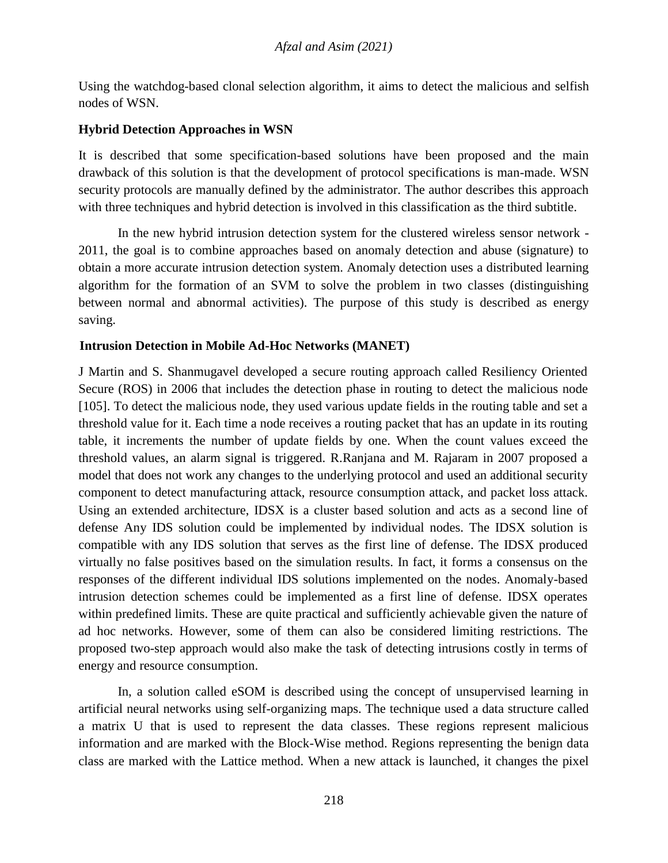Using the watchdog-based clonal selection algorithm, it aims to detect the malicious and selfish nodes of WSN.

## **Hybrid Detection Approaches in WSN**

It is described that some specification-based solutions have been proposed and the main drawback of this solution is that the development of protocol specifications is man-made. WSN security protocols are manually defined by the administrator. The author describes this approach with three techniques and hybrid detection is involved in this classification as the third subtitle.

In the new hybrid intrusion detection system for the clustered wireless sensor network - 2011, the goal is to combine approaches based on anomaly detection and abuse (signature) to obtain a more accurate intrusion detection system. Anomaly detection uses a distributed learning algorithm for the formation of an SVM to solve the problem in two classes (distinguishing between normal and abnormal activities). The purpose of this study is described as energy saving.

### **Intrusion Detection in Mobile Ad-Hoc Networks (MANET)**

J Martin and S. Shanmugavel developed a secure routing approach called Resiliency Oriented Secure (ROS) in 2006 that includes the detection phase in routing to detect the malicious node [105]. To detect the malicious node, they used various update fields in the routing table and set a threshold value for it. Each time a node receives a routing packet that has an update in its routing table, it increments the number of update fields by one. When the count values exceed the threshold values, an alarm signal is triggered. R.Ranjana and M. Rajaram in 2007 proposed a model that does not work any changes to the underlying protocol and used an additional security component to detect manufacturing attack, resource consumption attack, and packet loss attack. Using an extended architecture, IDSX is a cluster based solution and acts as a second line of defense Any IDS solution could be implemented by individual nodes. The IDSX solution is compatible with any IDS solution that serves as the first line of defense. The IDSX produced virtually no false positives based on the simulation results. In fact, it forms a consensus on the responses of the different individual IDS solutions implemented on the nodes. Anomaly-based intrusion detection schemes could be implemented as a first line of defense. IDSX operates within predefined limits. These are quite practical and sufficiently achievable given the nature of ad hoc networks. However, some of them can also be considered limiting restrictions. The proposed two-step approach would also make the task of detecting intrusions costly in terms of energy and resource consumption.

In, a solution called eSOM is described using the concept of unsupervised learning in artificial neural networks using self-organizing maps. The technique used a data structure called a matrix U that is used to represent the data classes. These regions represent malicious information and are marked with the Block-Wise method. Regions representing the benign data class are marked with the Lattice method. When a new attack is launched, it changes the pixel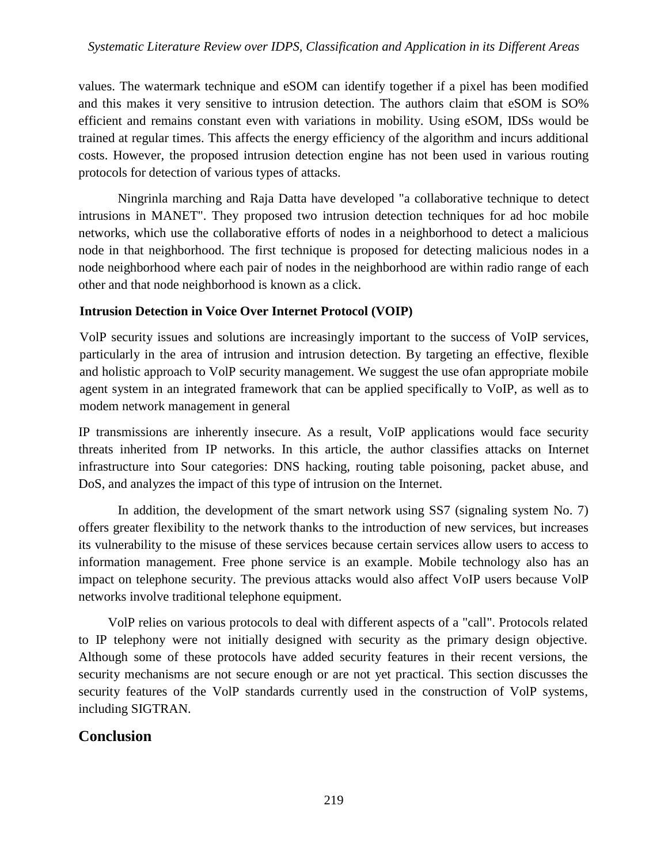### *Systematic Literature Review over IDPS, Classification and Application in its Different Areas*

values. The watermark technique and eSOM can identify together if a pixel has been modified and this makes it very sensitive to intrusion detection. The authors claim that eSOM is SO% efficient and remains constant even with variations in mobility. Using eSOM, IDSs would be trained at regular times. This affects the energy efficiency of the algorithm and incurs additional costs. However, the proposed intrusion detection engine has not been used in various routing protocols for detection of various types of attacks.

Ningrinla marching and Raja Datta have developed "a collaborative technique to detect intrusions in MANET". They proposed two intrusion detection techniques for ad hoc mobile networks, which use the collaborative efforts of nodes in a neighborhood to detect a malicious node in that neighborhood. The first technique is proposed for detecting malicious nodes in a node neighborhood where each pair of nodes in the neighborhood are within radio range of each other and that node neighborhood is known as a click.

### **Intrusion Detection in Voice Over Internet Protocol (VOIP)**

VolP security issues and solutions are increasingly important to the success of VoIP services, particularly in the area of intrusion and intrusion detection. By targeting an effective, flexible and holistic approach to VolP security management. We suggest the use ofan appropriate mobile agent system in an integrated framework that can be applied specifically to VoIP, as well as to modem network management in general

IP transmissions are inherently insecure. As a result, VoIP applications would face security threats inherited from IP networks. In this article, the author classifies attacks on Internet infrastructure into Sour categories: DNS hacking, routing table poisoning, packet abuse, and DoS, and analyzes the impact of this type of intrusion on the Internet.

In addition, the development of the smart network using SS7 (signaling system No. 7) offers greater flexibility to the network thanks to the introduction of new services, but increases its vulnerability to the misuse of these services because certain services allow users to access to information management. Free phone service is an example. Mobile technology also has an impact on telephone security. The previous attacks would also affect VoIP users because VolP networks involve traditional telephone equipment.

VolP relies on various protocols to deal with different aspects of a "call". Protocols related to IP telephony were not initially designed with security as the primary design objective. Although some of these protocols have added security features in their recent versions, the security mechanisms are not secure enough or are not yet practical. This section discusses the security features of the VolP standards currently used in the construction of VolP systems, including SIGTRAN.

# **Conclusion**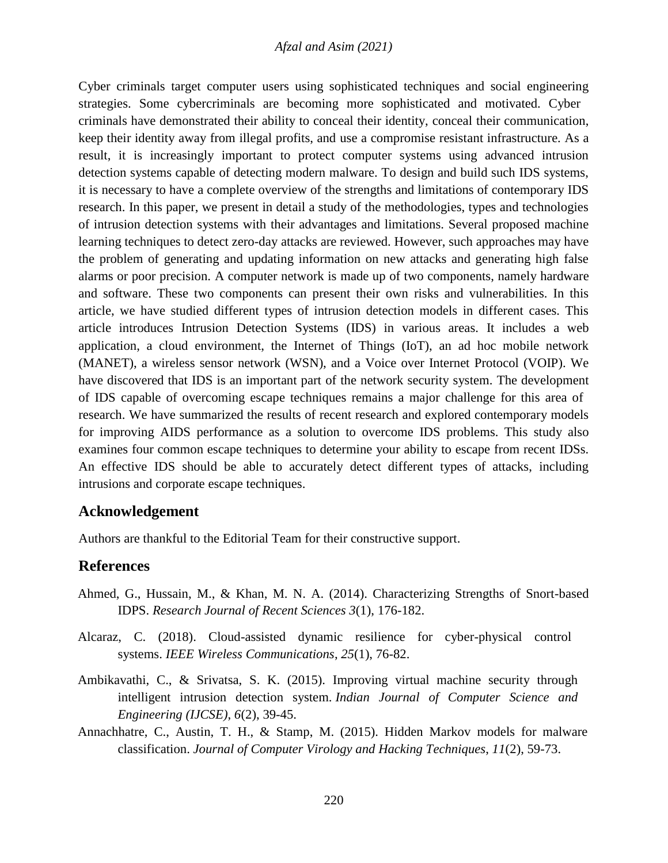### *Afzal and Asim (2021)*

Cyber criminals target computer users using sophisticated techniques and social engineering strategies. Some cybercriminals are becoming more sophisticated and motivated. Cyber criminals have demonstrated their ability to conceal their identity, conceal their communication, keep their identity away from illegal profits, and use a compromise resistant infrastructure. As a result, it is increasingly important to protect computer systems using advanced intrusion detection systems capable of detecting modern malware. To design and build such IDS systems, it is necessary to have a complete overview of the strengths and limitations of contemporary IDS research. In this paper, we present in detail a study of the methodologies, types and technologies of intrusion detection systems with their advantages and limitations. Several proposed machine learning techniques to detect zero-day attacks are reviewed. However, such approaches may have the problem of generating and updating information on new attacks and generating high false alarms or poor precision. A computer network is made up of two components, namely hardware and software. These two components can present their own risks and vulnerabilities. In this article, we have studied different types of intrusion detection models in different cases. This article introduces Intrusion Detection Systems (IDS) in various areas. It includes a web application, a cloud environment, the Internet of Things (IoT), an ad hoc mobile network (MANET), a wireless sensor network (WSN), and a Voice over Internet Protocol (VOIP). We have discovered that IDS is an important part of the network security system. The development of IDS capable of overcoming escape techniques remains a major challenge for this area of research. We have summarized the results of recent research and explored contemporary models for improving AIDS performance as a solution to overcome IDS problems. This study also examines four common escape techniques to determine your ability to escape from recent IDSs. An effective IDS should be able to accurately detect different types of attacks, including intrusions and corporate escape techniques.

### **Acknowledgement**

Authors are thankful to the Editorial Team for their constructive support.

### **References**

- Ahmed, G., Hussain, M., & Khan, M. N. A. (2014). Characterizing Strengths of Snort-based IDPS. *Research Journal of Recent Sciences 3*(1), 176-182.
- Alcaraz, C. (2018). Cloud-assisted dynamic resilience for cyber-physical control systems. *IEEE Wireless Communications*, *25*(1), 76-82.
- Ambikavathi, C., & Srivatsa, S. K. (2015). Improving virtual machine security through intelligent intrusion detection system. *Indian Journal of Computer Science and Engineering (IJCSE)*, *6*(2), 39-45.
- Annachhatre, C., Austin, T. H., & Stamp, M. (2015). Hidden Markov models for malware classification. *Journal of Computer Virology and Hacking Techniques*, *11*(2), 59-73.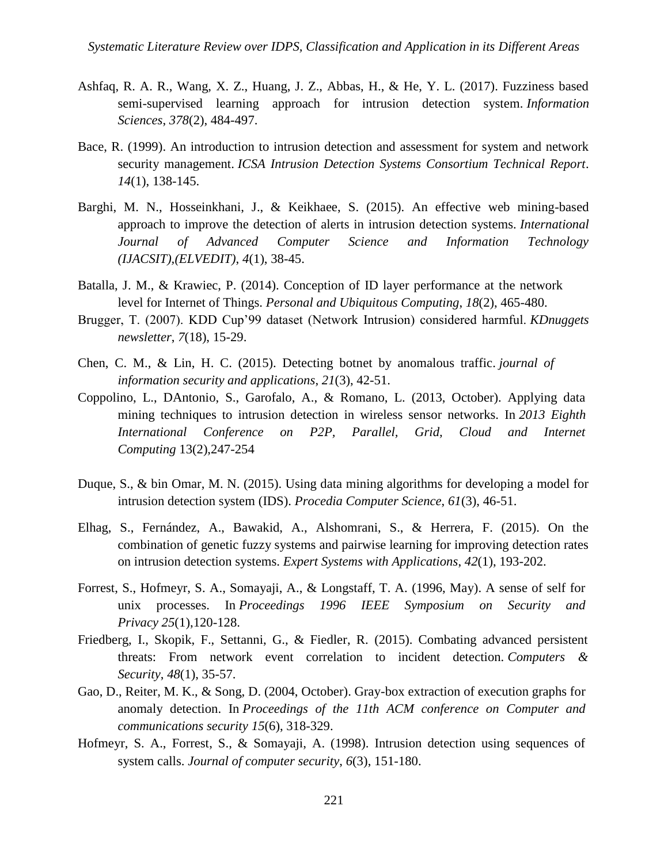- Ashfaq, R. A. R., Wang, X. Z., Huang, J. Z., Abbas, H., & He, Y. L. (2017). Fuzziness based semi-supervised learning approach for intrusion detection system. *Information Sciences*, *378*(2), 484-497.
- Bace, R. (1999). An introduction to intrusion detection and assessment for system and network security management. *ICSA Intrusion Detection Systems Consortium Technical Report*. *14*(1), 138-145.
- Barghi, M. N., Hosseinkhani, J., & Keikhaee, S. (2015). An effective web mining-based approach to improve the detection of alerts in intrusion detection systems. *International Journal of Advanced Computer Science and Information Technology (IJACSIT),(ELVEDIT)*, *4*(1), 38-45.
- Batalla, J. M., & Krawiec, P. (2014). Conception of ID layer performance at the network level for Internet of Things. *Personal and Ubiquitous Computing*, *18*(2), 465-480.
- Brugger, T. (2007). KDD Cup'99 dataset (Network Intrusion) considered harmful. *KDnuggets newsletter*, *7*(18), 15-29.
- Chen, C. M., & Lin, H. C. (2015). Detecting botnet by anomalous traffic. *journal of information security and applications*, *21*(3), 42-51.
- Coppolino, L., DAntonio, S., Garofalo, A., & Romano, L. (2013, October). Applying data mining techniques to intrusion detection in wireless sensor networks. In *2013 Eighth International Conference on P2P, Parallel, Grid, Cloud and Internet Computing* 13(2),247-254
- Duque, S., & bin Omar, M. N. (2015). Using data mining algorithms for developing a model for intrusion detection system (IDS). *Procedia Computer Science*, *61*(3), 46-51.
- Elhag, S., Fernández, A., Bawakid, A., Alshomrani, S., & Herrera, F. (2015). On the combination of genetic fuzzy systems and pairwise learning for improving detection rates on intrusion detection systems. *Expert Systems with Applications*, *42*(1), 193-202.
- Forrest, S., Hofmeyr, S. A., Somayaji, A., & Longstaff, T. A. (1996, May). A sense of self for unix processes. In *Proceedings 1996 IEEE Symposium on Security and Privacy 25*(1),120-128.
- Friedberg, I., Skopik, F., Settanni, G., & Fiedler, R. (2015). Combating advanced persistent threats: From network event correlation to incident detection. *Computers & Security*, *48*(1), 35-57.
- Gao, D., Reiter, M. K., & Song, D. (2004, October). Gray-box extraction of execution graphs for anomaly detection. In *Proceedings of the 11th ACM conference on Computer and communications security 15*(6), 318-329.
- Hofmeyr, S. A., Forrest, S., & Somayaji, A. (1998). Intrusion detection using sequences of system calls. *Journal of computer security*, *6*(3), 151-180.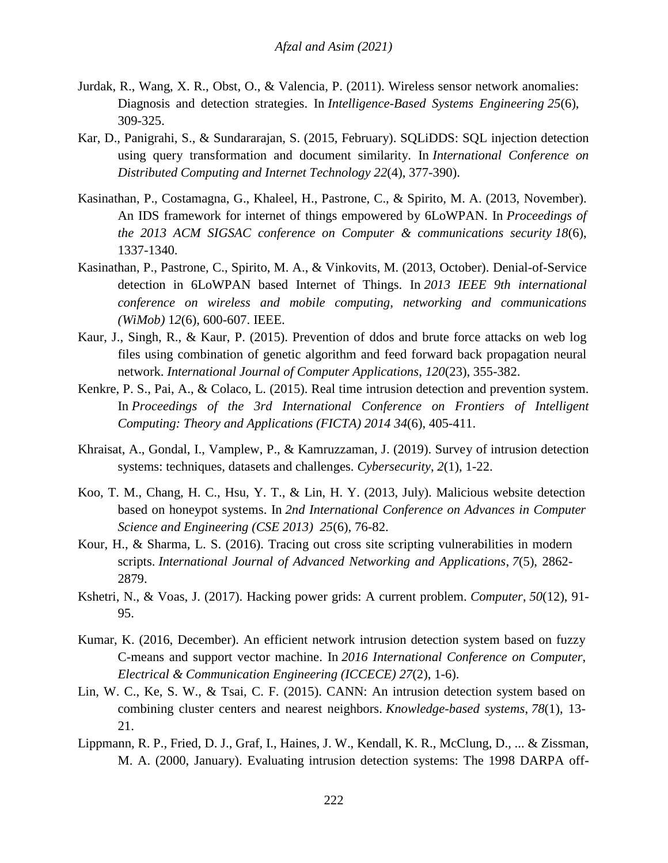- Jurdak, R., Wang, X. R., Obst, O., & Valencia, P. (2011). Wireless sensor network anomalies: Diagnosis and detection strategies. In *Intelligence-Based Systems Engineering 25*(6), 309-325.
- Kar, D., Panigrahi, S., & Sundararajan, S. (2015, February). SQLiDDS: SQL injection detection using query transformation and document similarity. In *International Conference on Distributed Computing and Internet Technology 22*(4), 377-390).
- Kasinathan, P., Costamagna, G., Khaleel, H., Pastrone, C., & Spirito, M. A. (2013, November). An IDS framework for internet of things empowered by 6LoWPAN. In *Proceedings of the 2013 ACM SIGSAC conference on Computer & communications security 18*(6), 1337-1340.
- Kasinathan, P., Pastrone, C., Spirito, M. A., & Vinkovits, M. (2013, October). Denial-of-Service detection in 6LoWPAN based Internet of Things. In *2013 IEEE 9th international conference on wireless and mobile computing, networking and communications (WiMob)* 1*2*(6), 600-607. IEEE.
- Kaur, J., Singh, R., & Kaur, P. (2015). Prevention of ddos and brute force attacks on web log files using combination of genetic algorithm and feed forward back propagation neural network. *International Journal of Computer Applications*, *120*(23), 355-382.
- Kenkre, P. S., Pai, A., & Colaco, L. (2015). Real time intrusion detection and prevention system. In Proceedings of the 3rd International Conference on Frontiers of Intelligent *Computing: Theory and Applications (FICTA) 2014 34*(6), 405-411.
- Khraisat, A., Gondal, I., Vamplew, P., & Kamruzzaman, J. (2019). Survey of intrusion detection systems: techniques, datasets and challenges. *Cybersecurity*, *2*(1), 1-22.
- Koo, T. M., Chang, H. C., Hsu, Y. T., & Lin, H. Y. (2013, July). Malicious website detection based on honeypot systems. In *2nd International Conference on Advances in Computer Science and Engineering (CSE 2013) 25*(6), 76-82.
- Kour, H., & Sharma, L. S. (2016). Tracing out cross site scripting vulnerabilities in modern scripts. *International Journal of Advanced Networking and Applications*, *7*(5), 2862- 2879.
- Kshetri, N., & Voas, J. (2017). Hacking power grids: A current problem. *Computer*, *50*(12), 91- 95.
- Kumar, K. (2016, December). An efficient network intrusion detection system based on fuzzy C-means and support vector machine. In *2016 International Conference on Computer, Electrical & Communication Engineering (ICCECE) 27*(2), 1-6).
- Lin, W. C., Ke, S. W., & Tsai, C. F. (2015). CANN: An intrusion detection system based on combining cluster centers and nearest neighbors. *Knowledge-based systems*, *78*(1), 13- 21.
- Lippmann, R. P., Fried, D. J., Graf, I., Haines, J. W., Kendall, K. R., McClung, D., ... & Zissman, M. A. (2000, January). Evaluating intrusion detection systems: The 1998 DARPA off-